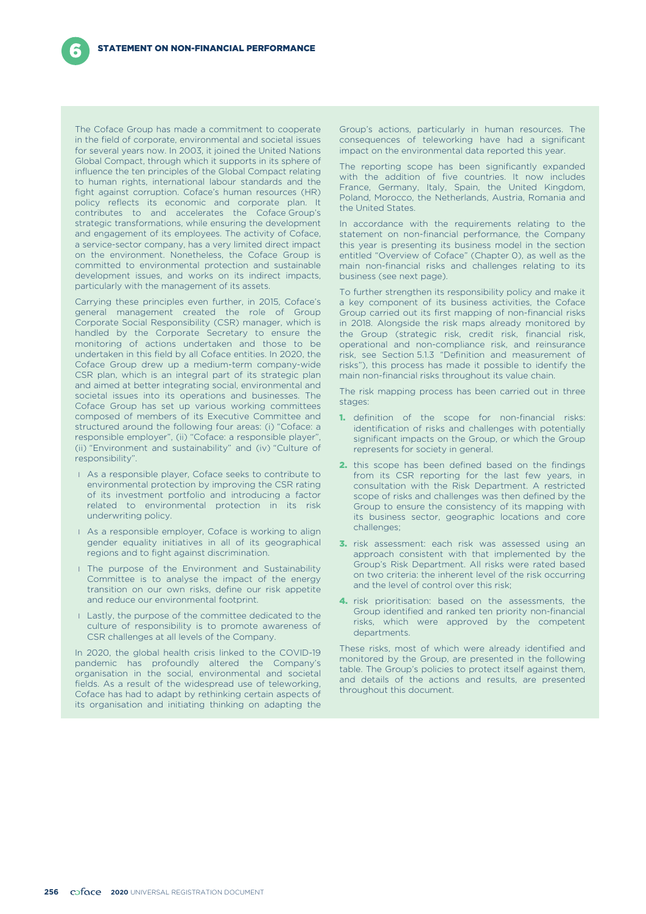The Coface Group has made a commitment to cooperate in the field of corporate, environmental and societal issues for several years now. In 2003, it joined the United Nations Global Compact, through which it supports in its sphere of influence the ten principles of the Global Compact relating to human rights, international labour standards and the fight against corruption. Coface's human resources (HR) policy reflects its economic and corporate plan. It contributes to and accelerates the Coface Group's strategic transformations, while ensuring the development and engagement of its employees. The activity of Coface, a service-sector company, has a very limited direct impact on the environment. Nonetheless, the Coface Group is committed to environmental protection and sustainable development issues, and works on its indirect impacts, particularly with the management of its assets.

Carrying these principles even further, in 2015, Coface's general management created the role of Group Corporate Social Responsibility (CSR) manager, which is handled by the Corporate Secretary to ensure the monitoring of actions undertaken and those to be undertaken in this field by all Coface entities. In 2020, the Coface Group drew up a medium-term company-wide CSR plan, which is an integral part of its strategic plan and aimed at better integrating social, environmental and societal issues into its operations and businesses. The Coface Group has set up various working committees composed of members of its Executive Committee and structured around the following four areas: (i) "Coface: a responsible employer", (ii) "Coface: a responsible player", (ii) "Environment and sustainability" and (iv) "Culture of responsibility".

- l As a responsible player, Coface seeks to contribute to environmental protection by improving the CSR rating of its investment portfolio and introducing a factor related to environmental protection in its risk underwriting policy.
- **I** As a responsible employer, Coface is working to align gender equality initiatives in all of its geographical regions and to fight against discrimination.
- **I** The purpose of the Environment and Sustainability Committee is to analyse the impact of the energy transition on our own risks, define our risk appetite and reduce our environmental footprint.
- **I** Lastly, the purpose of the committee dedicated to the culture of responsibility is to promote awareness of CSR challenges at all levels of the Company.

In 2020, the global health crisis linked to the COVID-19 pandemic has profoundly altered the Company's organisation in the social, environmental and societal fields. As a result of the widespread use of teleworking, Coface has had to adapt by rethinking certain aspects of its organisation and initiating thinking on adapting the

Group's actions, particularly in human resources. The consequences of teleworking have had a significant impact on the environmental data reported this year.

The reporting scope has been significantly expanded with the addition of five countries. It now includes France, Germany, Italy, Spain, the United Kingdom, Poland, Morocco, the Netherlands, Austria, Romania and the United States.

In accordance with the requirements relating to the statement on non-financial performance, the Company this year is presenting its business model in the section entitled "Overview of Coface" (Chapter 0), as well as the main non-financial risks and challenges relating to its business (see next page).

To further strengthen its responsibility policy and make it a key component of its business activities, the Coface Group carried out its first mapping of non-financial risks in 2018. Alongside the risk maps already monitored by the Group (strategic risk, credit risk, financial risk, operational and non-compliance risk, and reinsurance risk, see Section 5.1.3 "Definition and measurement of risks"), this process has made it possible to identify the main non-financial risks throughout its value chain.

The risk mapping process has been carried out in three stages:

- **1.** definition of the scope for non-financial risks: identification of risks and challenges with potentially significant impacts on the Group, or which the Group represents for society in general.
- 2. this scope has been defined based on the findings from its CSR reporting for the last few years, in consultation with the Risk Department. A restricted scope of risks and challenges was then defined by the Group to ensure the consistency of its mapping with its business sector, geographic locations and core challenges;
- **3.** risk assessment: each risk was assessed using an approach consistent with that implemented by the Group's Risk Department. All risks were rated based on two criteria: the inherent level of the risk occurring and the level of control over this risk;
- 4. risk prioritisation: based on the assessments, the Group identified and ranked ten priority non-financial risks, which were approved by the competent departments.

These risks, most of which were already identified and monitored by the Group, are presented in the following table. The Group's policies to protect itself against them, and details of the actions and results, are presented throughout this document.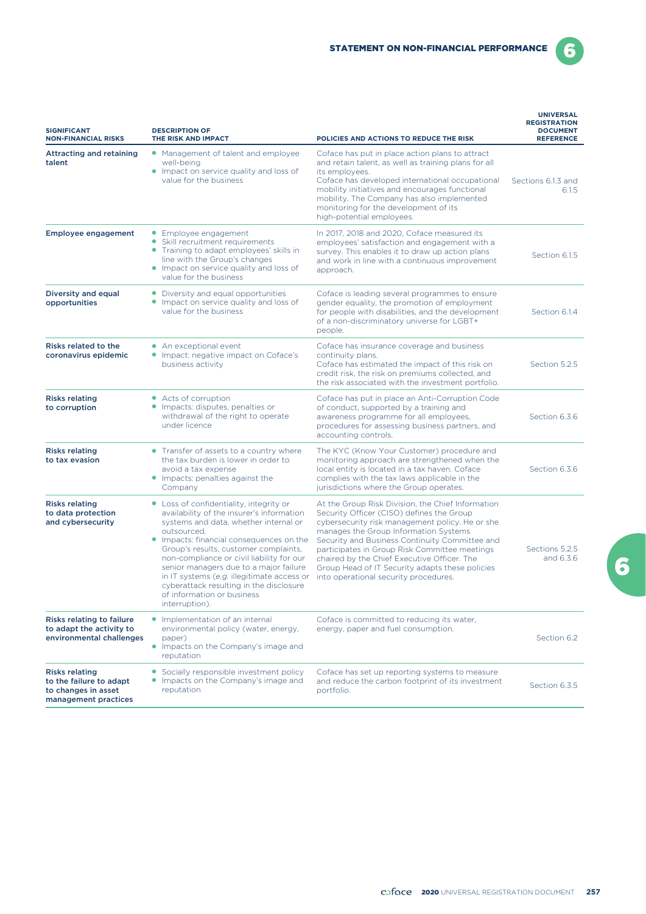6

| <b>SIGNIFICANT</b><br><b>NON-FINANCIAL RISKS</b>                                                | <b>DESCRIPTION OF</b><br>THE RISK AND IMPACT                                                                                                                                                                                                                                                                                                                                                                                                                      | POLICIES AND ACTIONS TO REDUCE THE RISK                                                                                                                                                                                                                                                                                                                                                                                                  | <b>UNIVERSAL</b><br><b>REGISTRATION</b><br><b>DOCUMENT</b><br><b>REFERENCE</b> |
|-------------------------------------------------------------------------------------------------|-------------------------------------------------------------------------------------------------------------------------------------------------------------------------------------------------------------------------------------------------------------------------------------------------------------------------------------------------------------------------------------------------------------------------------------------------------------------|------------------------------------------------------------------------------------------------------------------------------------------------------------------------------------------------------------------------------------------------------------------------------------------------------------------------------------------------------------------------------------------------------------------------------------------|--------------------------------------------------------------------------------|
| <b>Attracting and retaining</b><br>talent                                                       | • Management of talent and employee<br>well-being<br>• Impact on service quality and loss of<br>value for the business                                                                                                                                                                                                                                                                                                                                            | Coface has put in place action plans to attract<br>and retain talent, as well as training plans for all<br>its employees.<br>Coface has developed international occupational<br>mobility initiatives and encourages functional<br>mobility. The Company has also implemented<br>monitoring for the development of its<br>high-potential employees.                                                                                       | Sections 6.1.3 and<br>6.1.5                                                    |
| <b>Employee engagement</b>                                                                      | • Employee engagement<br>• Skill recruitment requirements<br>• Training to adapt employees' skills in<br>line with the Group's changes<br>• Impact on service quality and loss of<br>value for the business                                                                                                                                                                                                                                                       | In 2017, 2018 and 2020, Coface measured its<br>employees' satisfaction and engagement with a<br>survey. This enables it to draw up action plans<br>and work in line with a continuous improvement<br>approach.                                                                                                                                                                                                                           | Section 6.1.5                                                                  |
| Diversity and equal<br>opportunities                                                            | • Diversity and equal opportunities<br>• Impact on service quality and loss of<br>value for the business                                                                                                                                                                                                                                                                                                                                                          | Coface is leading several programmes to ensure<br>gender equality, the promotion of employment<br>for people with disabilities, and the development<br>of a non-discriminatory universe for LGBT+<br>people.                                                                                                                                                                                                                             | Section 6.1.4                                                                  |
| <b>Risks related to the</b><br>coronavirus epidemic                                             | • An exceptional event<br>• Impact: negative impact on Coface's<br>business activity                                                                                                                                                                                                                                                                                                                                                                              | Coface has insurance coverage and business<br>continuity plans.<br>Coface has estimated the impact of this risk on<br>credit risk, the risk on premiums collected, and<br>the risk associated with the investment portfolio.                                                                                                                                                                                                             | Section 5.2.5                                                                  |
| <b>Risks relating</b><br>to corruption                                                          | • Acts of corruption<br>• Impacts: disputes, penalties or<br>withdrawal of the right to operate<br>under licence                                                                                                                                                                                                                                                                                                                                                  | Coface has put in place an Anti-Corruption Code<br>of conduct, supported by a training and<br>awareness programme for all employees,<br>procedures for assessing business partners, and<br>accounting controls.                                                                                                                                                                                                                          | Section 6.3.6                                                                  |
| <b>Risks relating</b><br>to tax evasion                                                         | • Transfer of assets to a country where<br>the tax burden is lower in order to<br>avoid a tax expense<br>• Impacts: penalties against the<br>Company                                                                                                                                                                                                                                                                                                              | The KYC (Know Your Customer) procedure and<br>monitoring approach are strengthened when the<br>local entity is located in a tax haven. Coface<br>complies with the tax laws applicable in the<br>jurisdictions where the Group operates.                                                                                                                                                                                                 | Section 6.3.6                                                                  |
| <b>Risks relating</b><br>to data protection<br>and cybersecurity                                | • Loss of confidentiality, integrity or<br>availability of the insurer's information<br>systems and data, whether internal or<br>outsourced.<br>• Impacts: financial consequences on the<br>Group's results, customer complaints,<br>non-compliance or civil liability for our<br>senior managers due to a major failure<br>in IT systems (e.g. illegitimate access or<br>cyberattack resulting in the disclosure<br>of information or business<br>interruption). | At the Group Risk Division, the Chief Information<br>Security Officer (CISO) defines the Group<br>cybersecurity risk management policy. He or she<br>manages the Group Information Systems<br>Security and Business Continuity Committee and<br>participates in Group Risk Committee meetings<br>chaired by the Chief Executive Officer. The<br>Group Head of IT Security adapts these policies<br>into operational security procedures. | Sections 5.2.5<br>and 6.3.6                                                    |
| <b>Risks relating to failure</b><br>to adapt the activity to<br>environmental challenges        | • Implementation of an internal<br>environmental policy (water, energy,<br>paper)<br>• Impacts on the Company's image and<br>reputation                                                                                                                                                                                                                                                                                                                           | Coface is committed to reducing its water,<br>energy, paper and fuel consumption.                                                                                                                                                                                                                                                                                                                                                        | Section 6.2                                                                    |
| <b>Risks relating</b><br>to the failure to adapt<br>to changes in asset<br>management practices | • Socially responsible investment policy<br>• Impacts on the Company's image and<br>reputation                                                                                                                                                                                                                                                                                                                                                                    | Coface has set up reporting systems to measure<br>and reduce the carbon footprint of its investment<br>portfolio.                                                                                                                                                                                                                                                                                                                        | Section 6.3.5                                                                  |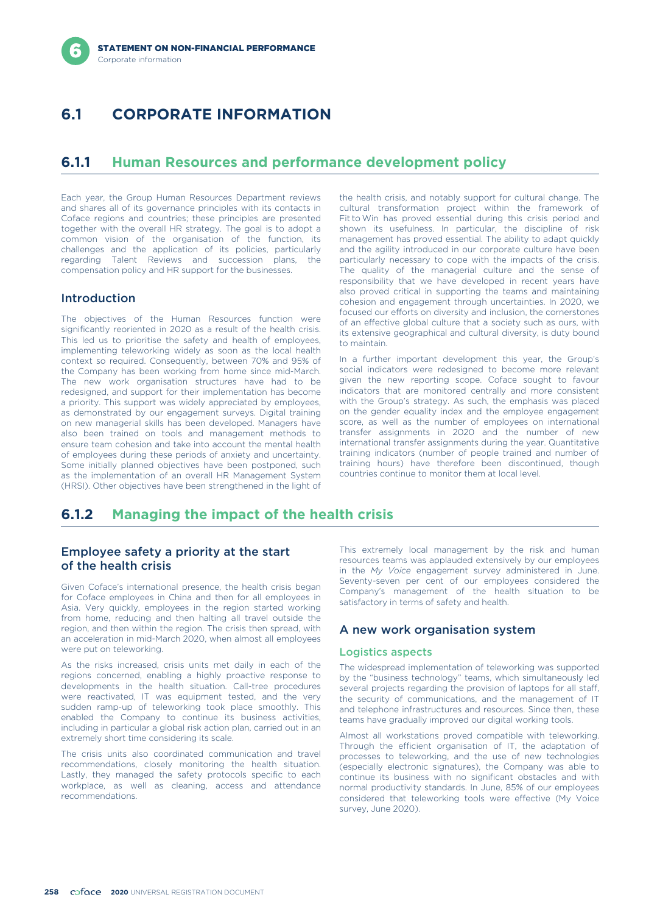# **6.1 CORPORATE INFORMATION**

# **6.1.1 Human Resources and performance development policy**

Each year, the Group Human Resources Department reviews and shares all of its governance principles with its contacts in Coface regions and countries; these principles are presented together with the overall HR strategy. The goal is to adopt a common vision of the organisation of the function, its challenges and the application of its policies, particularly regarding Talent Reviews and succession plans, the compensation policy and HR support for the businesses.

## Introduction

implementing teleworking widely as soon as the local health context so required. Consequently, between 70% and 95% of the Company has been working from home since mid-March. The new work organisation structures have had to be redesigned, and support for their implementation has become a priority. This support was widely appreciated by employees, as demonstrated by our engagement surveys. Digital training on new managerial skills has been developed. Managers have also been trained on tools and management methods to ensure team cohesion and take into account the mental health of employees during these periods of anxiety and uncertainty. Some initially planned objectives have been postponed, such as the implementation of an overall HR Management System (HRSI). Other objectives have been strengthened in the light of

the health crisis, and notably support for cultural change. The cultural transformation project within the framework of Fit to Win has proved essential during this crisis period and shown its usefulness. In particular, the discipline of risk management has proved essential. The ability to adapt quickly and the agility introduced in our corporate culture have been particularly necessary to cope with the impacts of the crisis. The quality of the managerial culture and the sense of responsibility that we have developed in recent years have also proved critical in supporting the teams and maintaining cohesion and engagement through uncertainties. In 2020, we focused our efforts on diversity and inclusion, the cornerstones The objectives of the Human Resources function were<br>significantly reoriented in 2020 as a result of the health crisis.<br>Its extensive global culture that a society such as ours, with<br>This led us to prioritise the safety and

> In a further important development this year, the Group's social indicators were redesigned to become more relevant given the new reporting scope. Coface sought to favour indicators that are monitored centrally and more consistent with the Group's strategy. As such, the emphasis was placed on the gender equality index and the employee engagement score, as well as the number of employees on international transfer assignments in 2020 and the number of new international transfer assignments during the year. Quantitative training indicators (number of people trained and number of training hours) have therefore been discontinued, though countries continue to monitor them at local level.

# **6.1.2 Managing the impact of the health crisis**

## Employee safety a priority at the start of the health crisis

Given Coface's international presence, the health crisis began for Coface employees in China and then for all employees in Asia. Very quickly, employees in the region started working from home, reducing and then halting all travel outside the region, and then within the region. The crisis then spread, with an acceleration in mid-March 2020, when almost all employees were put on teleworking.

As the risks increased, crisis units met daily in each of the regions concerned, enabling a highly proactive response to developments in the health situation. Call-tree procedures were reactivated, IT was equipment tested, and the very sudden ramp-up of teleworking took place smoothly. This enabled the Company to continue its business activities, including in particular a global risk action plan, carried out in an extremely short time considering its scale.

The crisis units also coordinated communication and travel recommendations, closely monitoring the health situation. Lastly, they managed the safety protocols specific to each workplace, as well as cleaning, access and attendance recommendations.

This extremely local management by the risk and human resources teams was applauded extensively by our employees in the *My Voice* engagement survey administered in June. Seventy-seven per cent of our employees considered the Company's management of the health situation to be satisfactory in terms of safety and health.

## A new work organisation system

### Logistics aspects

The widespread implementation of teleworking was supported by the "business technology" teams, which simultaneously led several projects regarding the provision of laptops for all staff, the security of communications, and the management of IT and telephone infrastructures and resources. Since then, these teams have gradually improved our digital working tools.

Almost all workstations proved compatible with teleworking. Through the efficient organisation of IT, the adaptation of processes to teleworking, and the use of new technologies (especially electronic signatures), the Company was able to continue its business with no significant obstacles and with normal productivity standards. In June, 85% of our employees considered that teleworking tools were effective (My Voice survey, June 2020).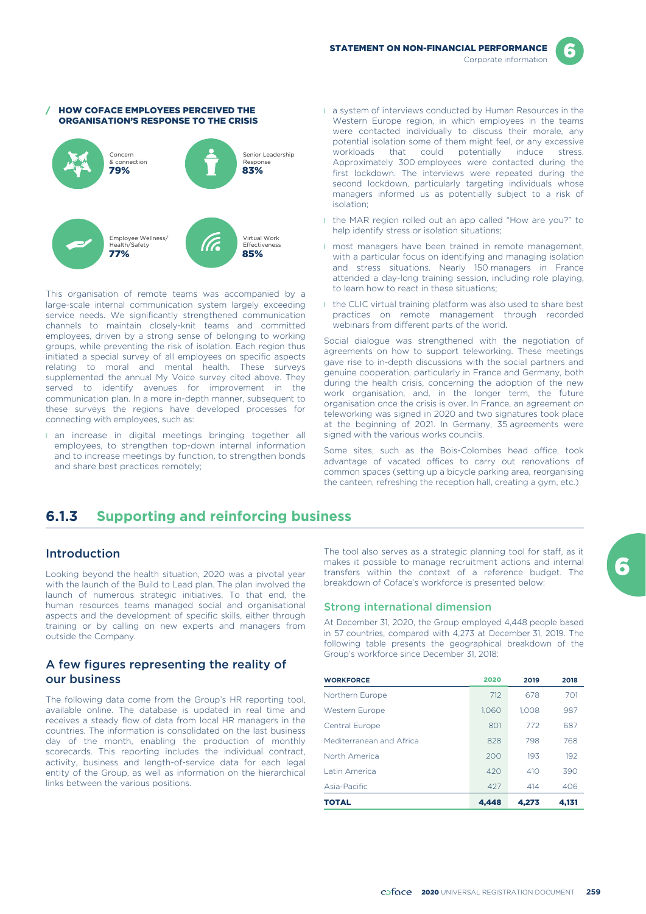# HOW COFACE EMPLOYEES PERCEIVED THE ORGANISATION'S RESPONSE TO THE CRISIS 79% Concern & connection 83% Senior Leadership Response 77% Employee Wellness/ Health/Safety 85% Virtual Work Effectiveness

This organisation of remote teams was accompanied by a large-scale internal communication system largely exceeding service needs. We significantly strengthened communication channels to maintain closely-knit teams and committed employees, driven by a strong sense of belonging to working groups, while preventing the risk of isolation. Each region thus initiated a special survey of all employees on specific aspects relating to moral and mental health. These surveys supplemented the annual My Voice survey cited above. They served to identify avenues for improvement in the communication plan. In a more in-depth manner, subsequent to these surveys the regions have developed processes for connecting with employees, such as:

**an increase in digital meetings bringing together all** employees, to strengthen top-down internal information and to increase meetings by function, to strengthen bonds and share best practices remotely;

- l a system of interviews conducted by Human Resources in the Western Europe region, in which employees in the teams were contacted individually to discuss their morale, any potential isolation some of them might feel, or any excessive workloads that could potentially induce stress. Approximately 300 employees were contacted during the first lockdown. The interviews were repeated during the second lockdown, particularly targeting individuals whose managers informed us as potentially subject to a risk of isolation;
- I the MAR region rolled out an app called "How are you?" to help identify stress or isolation situations;
- **I** most managers have been trained in remote management, with a particular focus on identifying and managing isolation and stress situations. Nearly 150 managers in France attended a day-long training session, including role playing, to learn how to react in these situations;
- I the CLIC virtual training platform was also used to share best practices on remote management through recorded webinars from different parts of the world.

Social dialogue was strengthened with the negotiation of agreements on how to support teleworking. These meetings gave rise to in-depth discussions with the social partners and genuine cooperation, particularly in France and Germany, both during the health crisis, concerning the adoption of the new work organisation, and, in the longer term, the future organisation once the crisis is over. In France, an agreement on teleworking was signed in 2020 and two signatures took place at the beginning of 2021. In Germany, 35 agreements were signed with the various works councils.

Some sites, such as the Bois-Colombes head office, took advantage of vacated offices to carry out renovations of common spaces (setting up a bicycle parking area, reorganising the canteen, refreshing the reception hall, creating a gym, etc.)

# **6.1.3 Supporting and reinforcing business**

## Introduction

Looking beyond the health situation, 2020 was a pivotal year with the launch of the Build to Lead plan. The plan involved the launch of numerous strategic initiatives. To that end, the human resources teams managed social and organisational aspects and the development of specific skills, either through training or by calling on new experts and managers from outside the Company.

## A few figures representing the reality of our business

The following data come from the Group's HR reporting tool, available online. The database is updated in real time and receives a steady flow of data from local HR managers in the countries. The information is consolidated on the last business day of the month, enabling the production of monthly scorecards. This reporting includes the individual contract, activity, business and length-of-service data for each legal entity of the Group, as well as information on the hierarchical links between the various positions.

The tool also serves as a strategic planning tool for staff, as it makes it possible to manage recruitment actions and internal transfers within the context of a reference budget. The breakdown of Coface's workforce is presented below:

## Strong international dimension

At December 31, 2020, the Group employed 4,448 people based in 57 countries, compared with 4,273 at December 31, 2019. The following table presents the geographical breakdown of the Group's workforce since December 31, 2018:

| <b>WORKFORCE</b>         | 2020  | 2019  | 2018  |
|--------------------------|-------|-------|-------|
| Northern Europe          | 712   | 678   | 701   |
| <b>Western Europe</b>    | 1.060 | 1.008 | 987   |
| Central Europe           | 801   | 772   | 687   |
| Mediterranean and Africa | 828   | 798   | 768   |
| North America            | 200   | 193   | 192   |
| Latin America            | 420   | 410   | 390   |
| Asia-Pacific             | 427   | 414   | 406   |
| <b>TOTAL</b>             | 4.448 | 4.273 | 4.131 |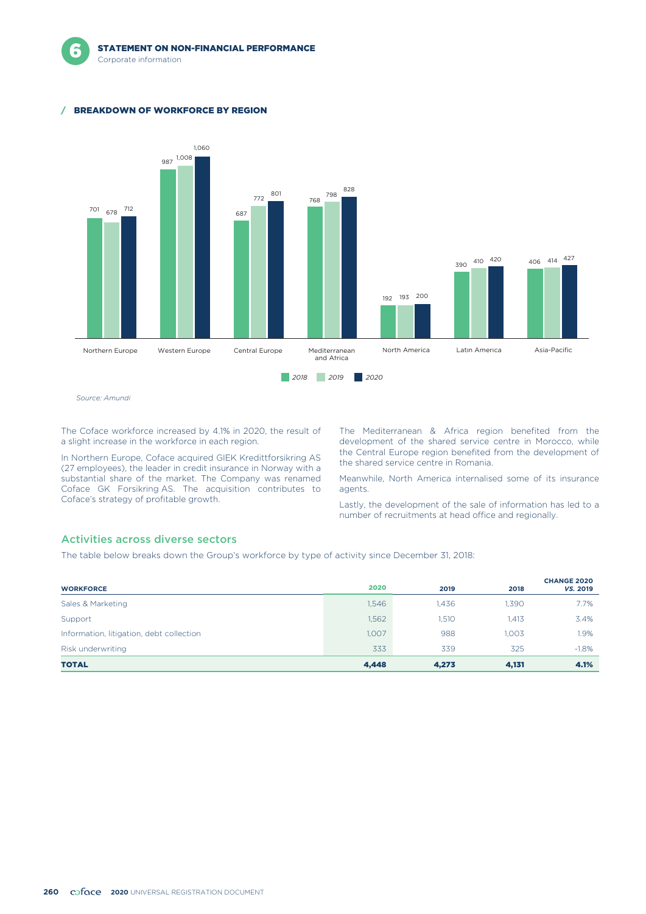### / BREAKDOWN OF WORKFORCE BY REGION



*Source: Amundi*

The Coface workforce increased by 4.1% in 2020, the result of a slight increase in the workforce in each region.

In Northern Europe, Coface acquired GIEK Kredittforsikring AS (27 employees), the leader in credit insurance in Norway with a substantial share of the market. The Company was renamed Coface GK Forsikring AS. The acquisition contributes to Coface's strategy of profitable growth.

The Mediterranean & Africa region benefited from the development of the shared service centre in Morocco, while the Central Europe region benefited from the development of the shared service centre in Romania.

Meanwhile, North America internalised some of its insurance agents.

Lastly, the development of the sale of information has led to a number of recruitments at head office and regionally.

### Activities across diverse sectors

The table below breaks down the Group's workforce by type of activity since December 31, 2018:

| <b>WORKFORCE</b>                         | 2020  | 2019  | 2018  | <b>CHANGE 2020</b><br>VS. 2019 |
|------------------------------------------|-------|-------|-------|--------------------------------|
| Sales & Marketing                        | 1,546 | 1.436 | 1.390 | 7.7%                           |
| Support                                  | 1,562 | 1,510 | 1.413 | 3.4%                           |
| Information, litigation, debt collection | 1,007 | 988   | 1,003 | 1.9%                           |
| Risk underwriting                        | 333   | 339   | 325   | $-1.8%$                        |
| <b>TOTAL</b>                             | 4,448 | 4,273 | 4,131 | 4.1%                           |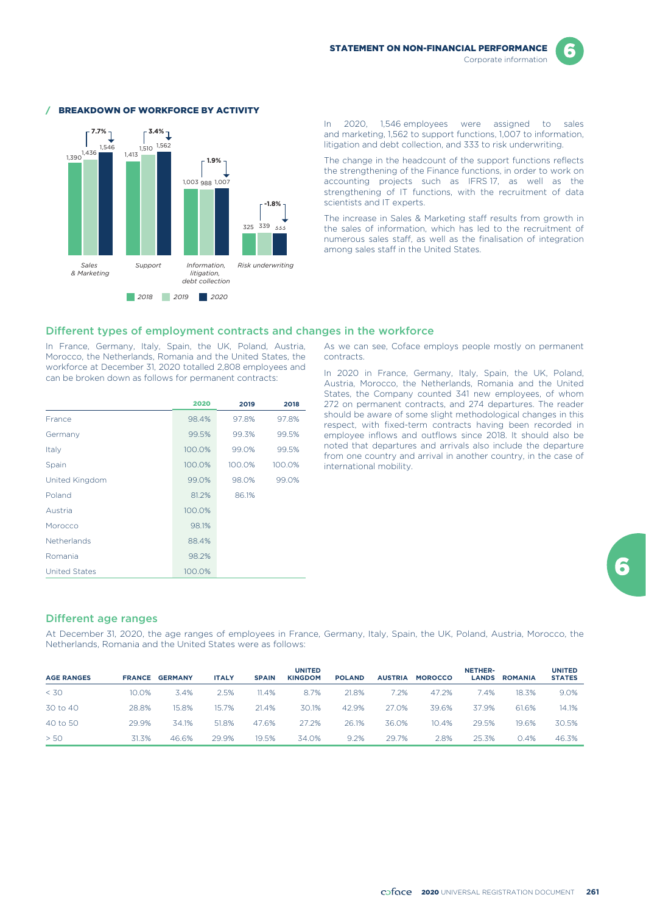



#### BREAKDOWN OF WORKFORCE BY ACTIVITY

In 2020, 1,546 employees were assigned to sales and marketing, 1,562 to support functions, 1,007 to information, litigation and debt collection, and 333 to risk underwriting.

The change in the headcount of the support functions reflects the strengthening of the Finance functions, in order to work on accounting projects such as IFRS 17, as well as the strengthening of IT functions, with the recruitment of data scientists and IT experts.

The increase in Sales & Marketing staff results from growth in the sales of information, which has led to the recruitment of numerous sales staff, as well as the finalisation of integration among sales staff in the United States.

#### Different types of employment contracts and changes in the workforce

In France, Germany, Italy, Spain, the UK, Poland, Austria, Morocco, the Netherlands, Romania and the United States, the workforce at December 31, 2020 totalled 2,808 employees and can be broken down as follows for permanent contracts:

|                      | 2020   | 2019   | 2018   |
|----------------------|--------|--------|--------|
| France               | 98.4%  | 97.8%  | 97.8%  |
| Germany              | 99.5%  | 99.3%  | 99.5%  |
| Italy                | 100.0% | 99.0%  | 99.5%  |
| Spain                | 100.0% | 100.0% | 100.0% |
| United Kingdom       | 99.0%  | 98.0%  | 99.0%  |
| Poland               | 81.2%  | 86.1%  |        |
| Austria              | 100.0% |        |        |
| Morocco              | 98.1%  |        |        |
| <b>Netherlands</b>   | 88.4%  |        |        |
| Romania              | 98.2%  |        |        |
| <b>United States</b> | 100.0% |        |        |

As we can see, Coface employs people mostly on permanent contracts.

In 2020 in France, Germany, Italy, Spain, the UK, Poland, Austria, Morocco, the Netherlands, Romania and the United States, the Company counted 341 new employees, of whom 272 on permanent contracts, and 274 departures. The reader should be aware of some slight methodological changes in this respect, with fixed-term contracts having been recorded in employee inflows and outflows since 2018. It should also be noted that departures and arrivals also include the departure from one country and arrival in another country, in the case of international mobility.

### Different age ranges

At December 31, 2020, the age ranges of employees in France, Germany, Italy, Spain, the UK, Poland, Austria, Morocco, the Netherlands, Romania and the United States were as follows:

| <b>AGE RANGES</b> | <b>FRANCE</b> | <b>GERMANY</b> | <b>ITALY</b> | <b>SPAIN</b> | <b>UNITED</b><br><b>KINGDOM</b> | <b>POLAND</b> | <b>AUSTRIA</b> | <b>MOROCCO</b> | <b>NETHER-</b><br><b>LANDS</b> | <b>ROMANIA</b> | <b>UNITED</b><br><b>STATES</b> |
|-------------------|---------------|----------------|--------------|--------------|---------------------------------|---------------|----------------|----------------|--------------------------------|----------------|--------------------------------|
| < 30              | 10.0%         | 3.4%           | 2.5%         | 11.4%        | 8.7%                            | 21.8%         | 7.2%           | 47.2%          | 7.4%                           | 18.3%          | 9.0%                           |
| 30 to 40          | 28.8%         | 15.8%          | 15.7%        | 21.4%        | 30.1%                           | 42.9%         | 27.0%          | 39.6%          | 37.9%                          | 61.6%          | 14.1%                          |
| 40 to 50          | 29.9%         | 34.1%          | 51.8%        | 47.6%        | 27.2%                           | 26.1%         | 36.0%          | 10.4%          | 29.5%                          | 19.6%          | 30.5%                          |
| > 50              | 31.3%         | 46.6%          | 29.9%        | 19.5%        | 34.0%                           | 9.2%          | 29.7%          | 2.8%           | 25.3%                          | 0.4%           | 46.3%                          |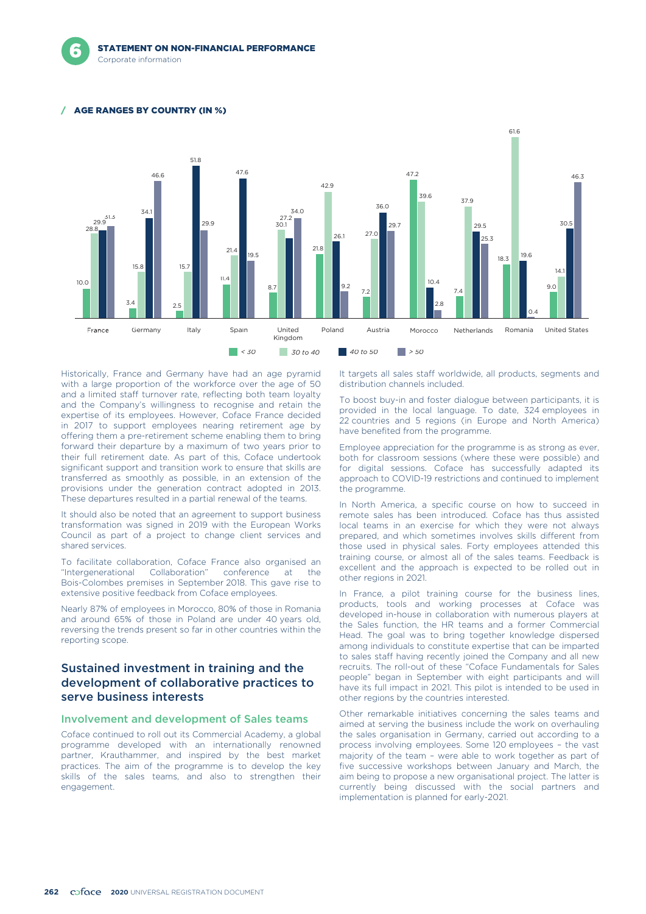### AGE RANGES BY COUNTRY (IN %)



Historically, France and Germany have had an age pyramid with a large proportion of the workforce over the age of 50 and a limited staff turnover rate, reflecting both team loyalty and the Company's willingness to recognise and retain the expertise of its employees. However, Coface France decided in 2017 to support employees nearing retirement age by offering them a pre-retirement scheme enabling them to bring forward their departure by a maximum of two years prior to their full retirement date. As part of this, Coface undertook significant support and transition work to ensure that skills are transferred as smoothly as possible, in an extension of the provisions under the generation contract adopted in 2013. These departures resulted in a partial renewal of the teams.

It should also be noted that an agreement to support business transformation was signed in 2019 with the European Works Council as part of a project to change client services and shared services.

To facilitate collaboration, Coface France also organised an "Intergenerational Collaboration" conference at the Bois-Colombes premises in September 2018. This gave rise to extensive positive feedback from Coface employees.

Nearly 87% of employees in Morocco, 80% of those in Romania and around 65% of those in Poland are under 40 years old, reversing the trends present so far in other countries within the reporting scope.

## Sustained investment in training and the development of collaborative practices to serve business interests

#### Involvement and development of Sales teams

Coface continued to roll out its Commercial Academy, a global programme developed with an internationally renowned partner, Krauthammer, and inspired by the best market practices. The aim of the programme is to develop the key skills of the sales teams, and also to strengthen their engagement.

It targets all sales staff worldwide, all products, segments and distribution channels included.

To boost buy-in and foster dialogue between participants, it is provided in the local language. To date, 324 employees in 22 countries and 5 regions (in Europe and North America) have benefited from the programme.

Employee appreciation for the programme is as strong as ever, both for classroom sessions (where these were possible) and for digital sessions. Coface has successfully adapted its approach to COVID-19 restrictions and continued to implement the programme.

In North America, a specific course on how to succeed in remote sales has been introduced. Coface has thus assisted local teams in an exercise for which they were not always prepared, and which sometimes involves skills different from those used in physical sales. Forty employees attended this training course, or almost all of the sales teams. Feedback is excellent and the approach is expected to be rolled out in other regions in 2021.

In France, a pilot training course for the business lines, products, tools and working processes at Coface was developed in-house in collaboration with numerous players at the Sales function, the HR teams and a former Commercial Head. The goal was to bring together knowledge dispersed among individuals to constitute expertise that can be imparted to sales staff having recently joined the Company and all new recruits. The roll-out of these "Coface Fundamentals for Sales people" began in September with eight participants and will have its full impact in 2021. This pilot is intended to be used in other regions by the countries interested.

Other remarkable initiatives concerning the sales teams and aimed at serving the business include the work on overhauling the sales organisation in Germany, carried out according to a process involving employees. Some 120 employees – the vast majority of the team – were able to work together as part of five successive workshops between January and March, the aim being to propose a new organisational project. The latter is currently being discussed with the social partners and implementation is planned for early-2021.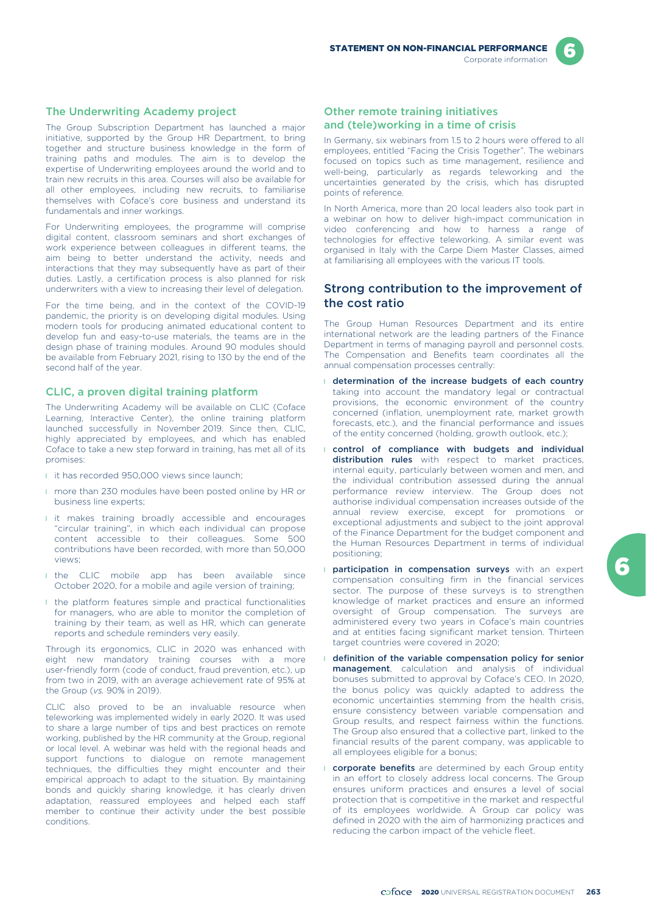The Underwriting Academy project

The Group Subscription Department has launched a major initiative, supported by the Group HR Department, to bring together and structure business knowledge in the form of training paths and modules. The aim is to develop the expertise of Underwriting employees around the world and to train new recruits in this area. Courses will also be available for all other employees, including new recruits, to familiarise themselves with Coface's core business and understand its fundamentals and inner workings.

For Underwriting employees, the programme will comprise digital content, classroom seminars and short exchanges of work experience between colleagues in different teams, the aim being to better understand the activity, needs and interactions that they may subsequently have as part of their duties. Lastly, a certification process is also planned for risk underwriters with a view to increasing their level of delegation.

For the time being, and in the context of the COVID-19 pandemic, the priority is on developing digital modules. Using modern tools for producing animated educational content to develop fun and easy-to-use materials, the teams are in the design phase of training modules. Around 90 modules should be available from February 2021, rising to 130 by the end of the second half of the year.

### CLIC, a proven digital training platform

The Underwriting Academy will be available on CLIC (Coface Learning, Interactive Center), the online training platform launched successfully in November 2019. Since then, CLIC, highly appreciated by employees, and which has enabled Coface to take a new step forward in training, has met all of its promises:

- l it has recorded 950,000 views since launch;
- **I** more than 230 modules have been posted online by HR or business line experts;
- **I** it makes training broadly accessible and encourages "circular training", in which each individual can propose content accessible to their colleagues. Some 500 contributions have been recorded, with more than 50,000 views;
- I the CLIC mobile app has been available since October 2020, for a mobile and agile version of training;
- **I** the platform features simple and practical functionalities for managers, who are able to monitor the completion of training by their team, as well as HR, which can generate reports and schedule reminders very easily.

Through its ergonomics, CLIC in 2020 was enhanced with eight new mandatory training courses with a more user-friendly form (code of conduct, fraud prevention, etc.), up from two in 2019, with an average achievement rate of 95% at the Group (*vs.* 90% in 2019).

CLIC also proved to be an invaluable resource when teleworking was implemented widely in early 2020. It was used to share a large number of tips and best practices on remote working, published by the HR community at the Group, regional or local level. A webinar was held with the regional heads and support functions to dialogue on remote management techniques, the difficulties they might encounter and their empirical approach to adapt to the situation. By maintaining bonds and quickly sharing knowledge, it has clearly driven adaptation, reassured employees and helped each staff member to continue their activity under the best possible conditions.

### Other remote training initiatives and (tele)working in a time of crisis

In Germany, six webinars from 1.5 to 2 hours were offered to all employees, entitled "Facing the Crisis Together". The webinars focused on topics such as time management, resilience and well-being, particularly as regards teleworking and the uncertainties generated by the crisis, which has disrupted points of reference.

In North America, more than 20 local leaders also took part in a webinar on how to deliver high-impact communication in video conferencing and how to harness a range of technologies for effective teleworking. A similar event was organised in Italy with the Carpe Diem Master Classes, aimed at familiarising all employees with the various IT tools.

### Strong contribution to the improvement of the cost ratio

The Group Human Resources Department and its entire international network are the leading partners of the Finance Department in terms of managing payroll and personnel costs. The Compensation and Benefits team coordinates all the annual compensation processes centrally:

- **I** determination of the increase budgets of each country taking into account the mandatory legal or contractual provisions, the economic environment of the country concerned (inflation, unemployment rate, market growth forecasts, etc.), and the financial performance and issues of the entity concerned (holding, growth outlook, etc.);
- l control of compliance with budgets and individual distribution rules with respect to market practices, internal equity, particularly between women and men, and the individual contribution assessed during the annual performance review interview. The Group does not authorise individual compensation increases outside of the annual review exercise, except for promotions or exceptional adjustments and subject to the joint approval of the Finance Department for the budget component and the Human Resources Department in terms of individual positioning;
- **I participation in compensation surveys** with an expert compensation consulting firm in the financial services sector. The purpose of these surveys is to strengthen knowledge of market practices and ensure an informed oversight of Group compensation. The surveys are administered every two years in Coface's main countries and at entities facing significant market tension. Thirteen target countries were covered in 2020;
- l definition of the variable compensation policy for senior management, calculation and analysis of individual bonuses submitted to approval by Coface's CEO. In 2020, the bonus policy was quickly adapted to address the economic uncertainties stemming from the health crisis, ensure consistency between variable compensation and Group results, and respect fairness within the functions. The Group also ensured that a collective part, linked to the financial results of the parent company, was applicable to all employees eligible for a bonus;
- **corporate benefits** are determined by each Group entity in an effort to closely address local concerns. The Group ensures uniform practices and ensures a level of social protection that is competitive in the market and respectful of its employees worldwide. A Group car policy was defined in 2020 with the aim of harmonizing practices and reducing the carbon impact of the vehicle fleet.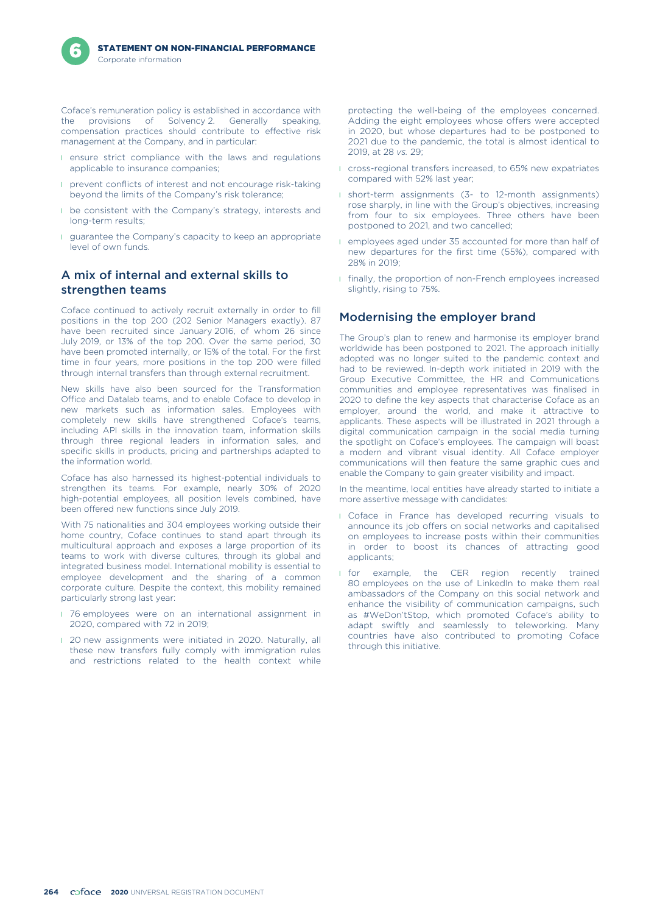

Coface's remuneration policy is established in accordance with the provisions of Solvency 2. Generally speaking, compensation practices should contribute to effective risk management at the Company, and in particular:

- **I** ensure strict compliance with the laws and regulations applicable to insurance companies;
- **I** prevent conflicts of interest and not encourage risk-taking beyond the limits of the Company's risk tolerance;
- **I** be consistent with the Company's strategy, interests and long-term results;
- **I** guarantee the Company's capacity to keep an appropriate level of own funds.

# A mix of internal and external skills to strengthen teams

Coface continued to actively recruit externally in order to fill positions in the top 200 (202 Senior Managers exactly). 87 have been recruited since January 2016, of whom 26 since July 2019, or 13% of the top 200. Over the same period, 30 have been promoted internally, or 15% of the total. For the first time in four years, more positions in the top 200 were filled through internal transfers than through external recruitment.

New skills have also been sourced for the Transformation Office and Datalab teams, and to enable Coface to develop in new markets such as information sales. Employees with completely new skills have strengthened Coface's teams, including API skills in the innovation team, information skills through three regional leaders in information sales, and specific skills in products, pricing and partnerships adapted to the information world.

Coface has also harnessed its highest-potential individuals to strengthen its teams. For example, nearly 30% of 2020 high-potential employees, all position levels combined, have been offered new functions since July 2019.

With 75 nationalities and 304 employees working outside their home country, Coface continues to stand apart through its multicultural approach and exposes a large proportion of its teams to work with diverse cultures, through its global and integrated business model. International mobility is essential to employee development and the sharing of a common corporate culture. Despite the context, this mobility remained particularly strong last year:

- **1** 76 employees were on an international assignment in 2020, compared with 72 in 2019;
- **1** 20 new assignments were initiated in 2020. Naturally, all these new transfers fully comply with immigration rules and restrictions related to the health context while

protecting the well-being of the employees concerned. Adding the eight employees whose offers were accepted in 2020, but whose departures had to be postponed to 2021 due to the pandemic, the total is almost identical to 2019, at 28 *vs.* 29;

- **I** cross-regional transfers increased, to 65% new expatriates compared with 52% last year;
- **I** short-term assignments (3- to 12-month assignments) rose sharply, in line with the Group's objectives, increasing from four to six employees. Three others have been postponed to 2021, and two cancelled;
- l employees aged under 35 accounted for more than half of new departures for the first time (55%), compared with 28% in 2019;
- l finally, the proportion of non-French employees increased slightly, rising to 75%.

## Modernising the employer brand

The Group's plan to renew and harmonise its employer brand worldwide has been postponed to 2021. The approach initially adopted was no longer suited to the pandemic context and had to be reviewed. In-depth work initiated in 2019 with the Group Executive Committee, the HR and Communications communities and employee representatives was finalised in 2020 to define the key aspects that characterise Coface as an employer, around the world, and make it attractive to applicants. These aspects will be illustrated in 2021 through a digital communication campaign in the social media turning the spotlight on Coface's employees. The campaign will boast a modern and vibrant visual identity. All Coface employer communications will then feature the same graphic cues and enable the Company to gain greater visibility and impact.

In the meantime, local entities have already started to initiate a more assertive message with candidates:

- **I** Coface in France has developed recurring visuals to announce its job offers on social networks and capitalised on employees to increase posts within their communities in order to boost its chances of attracting good applicants;
- **I** for example, the CER region recently trained 80 employees on the use of LinkedIn to make them real ambassadors of the Company on this social network and enhance the visibility of communication campaigns, such as #WeDon'tStop, which promoted Coface's ability to adapt swiftly and seamlessly to teleworking. Many countries have also contributed to promoting Coface through this initiative.

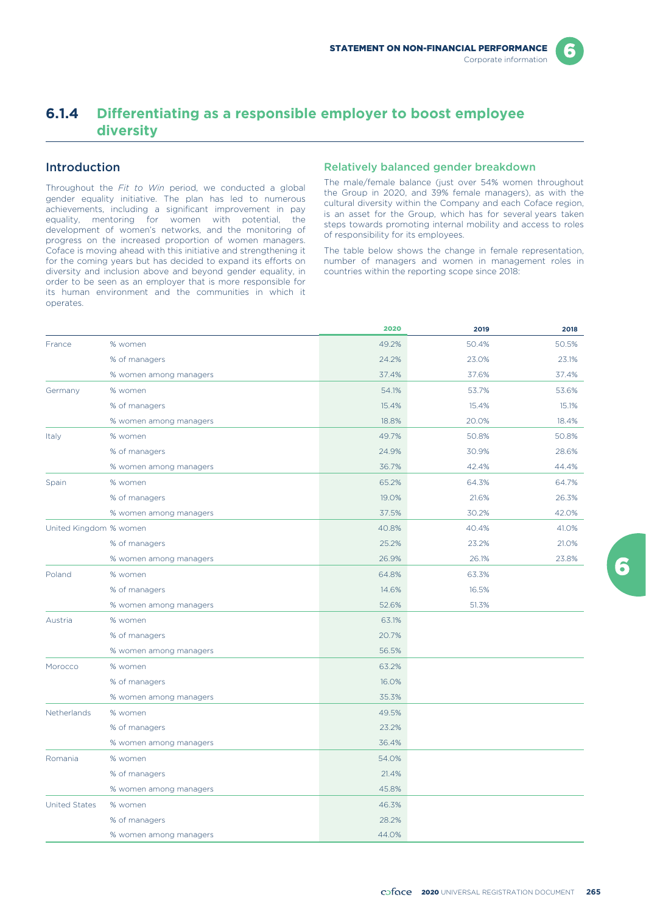# **6.1.4 Differentiating as a responsible employer to boost employee diversity**

## Introduction

Throughout the *Fit to Win* period, we conducted a global gender equality initiative. The plan has led to numerous achievements, including a significant improvement in pay equality, mentoring for women with potential, the development of women's networks, and the monitoring of progress on the increased proportion of women managers. Coface is moving ahead with this initiative and strengthening it for the coming years but has decided to expand its efforts on diversity and inclusion above and beyond gender equality, in order to be seen as an employer that is more responsible for its human environment and the communities in which it operates.

#### Relatively balanced gender breakdown

The male/female balance (just over 54% women throughout the Group in 2020, and 39% female managers), as with the cultural diversity within the Company and each Coface region, is an asset for the Group, which has for several years taken steps towards promoting internal mobility and access to roles of responsibility for its employees.

The table below shows the change in female representation, number of managers and women in management roles in countries within the reporting scope since 2018:

|                        |                        | 2020  | 2019  | 2018  |
|------------------------|------------------------|-------|-------|-------|
| France                 | % women                | 49.2% | 50.4% | 50.5% |
|                        | % of managers          | 24.2% | 23.0% | 23.1% |
|                        | % women among managers | 37.4% | 37.6% | 37.4% |
| Germany                | % women                | 54.1% | 53.7% | 53.6% |
|                        | % of managers          | 15.4% | 15.4% | 15.1% |
|                        | % women among managers | 18.8% | 20.0% | 18.4% |
| Italy                  | % women                | 49.7% | 50.8% | 50.8% |
|                        | % of managers          | 24.9% | 30.9% | 28.6% |
|                        | % women among managers | 36.7% | 42.4% | 44.4% |
| Spain                  | % women                | 65.2% | 64.3% | 64.7% |
|                        | % of managers          | 19.0% | 21.6% | 26.3% |
|                        | % women among managers | 37.5% | 30.2% | 42.0% |
| United Kingdom % women |                        | 40.8% | 40.4% | 41.0% |
|                        | % of managers          | 25.2% | 23.2% | 21.0% |
|                        | % women among managers | 26.9% | 26.1% | 23.8% |
| Poland                 | % women                | 64.8% | 63.3% |       |
|                        | % of managers          | 14.6% | 16.5% |       |
|                        | % women among managers | 52.6% | 51.3% |       |
| Austria                | % women                | 63.1% |       |       |
|                        | % of managers          | 20.7% |       |       |
|                        | % women among managers | 56.5% |       |       |
| Morocco                | % women                | 63.2% |       |       |
|                        | % of managers          | 16.0% |       |       |
|                        | % women among managers | 35.3% |       |       |
| Netherlands            | % women                | 49.5% |       |       |
|                        | % of managers          | 23.2% |       |       |
|                        | % women among managers | 36.4% |       |       |
| Romania                | % women                | 54.0% |       |       |
|                        | % of managers          | 21.4% |       |       |
|                        | % women among managers | 45.8% |       |       |
| <b>United States</b>   | % women                | 46.3% |       |       |
|                        | % of managers          | 28.2% |       |       |
|                        | % women among managers | 44.0% |       |       |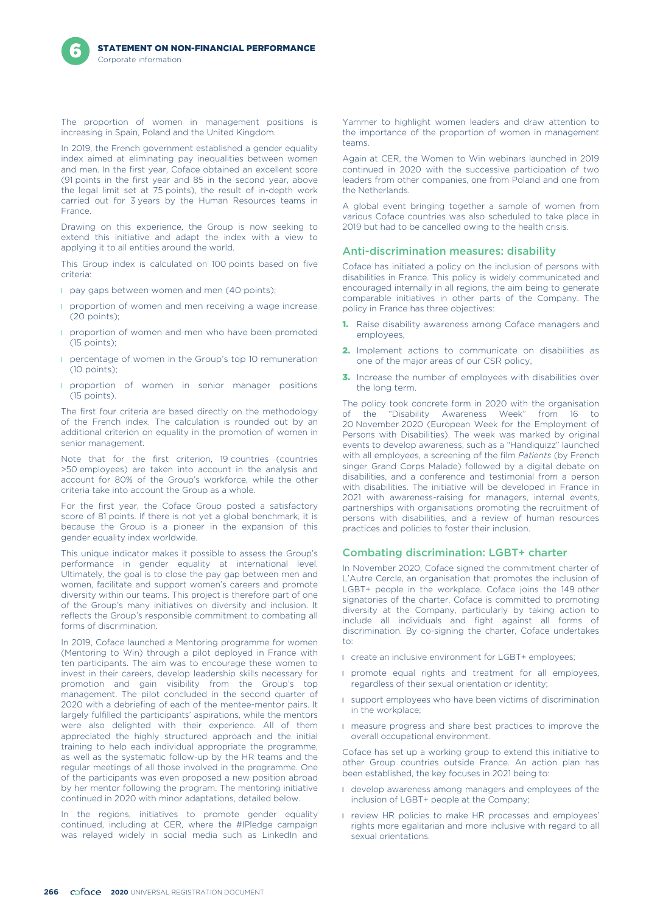The proportion of women in management positions is increasing in Spain, Poland and the United Kingdom.

In 2019, the French government established a gender equality index aimed at eliminating pay inequalities between women and men. In the first year, Coface obtained an excellent score (91 points in the first year and 85 in the second year, above the legal limit set at 75 points), the result of in-depth work carried out for 3 years by the Human Resources teams in France.

Drawing on this experience, the Group is now seeking to extend this initiative and adapt the index with a view to applying it to all entities around the world.

This Group index is calculated on 100 points based on five criteria:

- pay gaps between women and men (40 points);
- **I** proportion of women and men receiving a wage increase (20 points);
- **I** proportion of women and men who have been promoted (15 points);
- **I** percentage of women in the Group's top 10 remuneration  $(10 \text{ points})$
- **I** proportion of women in senior manager positions (15 points).

The first four criteria are based directly on the methodology of the French index. The calculation is rounded out by an additional criterion on equality in the promotion of women in senior management.

Note that for the first criterion, 19 countries (countries >50 employees) are taken into account in the analysis and account for 80% of the Group's workforce, while the other criteria take into account the Group as a whole.

For the first year, the Coface Group posted a satisfactory score of 81 points. If there is not yet a global benchmark, it is because the Group is a pioneer in the expansion of this gender equality index worldwide.

This unique indicator makes it possible to assess the Group's performance in gender equality at international level. Ultimately, the goal is to close the pay gap between men and women, facilitate and support women's careers and promote diversity within our teams. This project is therefore part of one of the Group's many initiatives on diversity and inclusion. It reflects the Group's responsible commitment to combating all forms of discrimination.

In 2019, Coface launched a Mentoring programme for women (Mentoring to Win) through a pilot deployed in France with ten participants. The aim was to encourage these women to invest in their careers, develop leadership skills necessary for promotion and gain visibility from the Group's top management. The pilot concluded in the second quarter of 2020 with a debriefing of each of the mentee-mentor pairs. It largely fulfilled the participants' aspirations, while the mentors were also delighted with their experience. All of them appreciated the highly structured approach and the initial training to help each individual appropriate the programme, as well as the systematic follow-up by the HR teams and the regular meetings of all those involved in the programme. One of the participants was even proposed a new position abroad by her mentor following the program. The mentoring initiative continued in 2020 with minor adaptations, detailed below.

In the regions, initiatives to promote gender equality continued, including at CER, where the #IPledge campaign was relayed widely in social media such as LinkedIn and Yammer to highlight women leaders and draw attention to the importance of the proportion of women in management teams.

Again at CER, the Women to Win webinars launched in 2019 continued in 2020 with the successive participation of two leaders from other companies, one from Poland and one from the Netherlands.

A global event bringing together a sample of women from various Coface countries was also scheduled to take place in 2019 but had to be cancelled owing to the health crisis.

### Anti-discrimination measures: disability

Coface has initiated a policy on the inclusion of persons with disabilities in France. This policy is widely communicated and encouraged internally in all regions, the aim being to generate comparable initiatives in other parts of the Company. The policy in France has three objectives:

- **1.** Raise disability awareness among Coface managers and employees,
- 2. Implement actions to communicate on disabilities as one of the major areas of our CSR policy,
- 3. Increase the number of employees with disabilities over the long term.

The policy took concrete form in 2020 with the organisation the "Disability Awareness Week" from 16 20 November 2020 (European Week for the Employment of Persons with Disabilities). The week was marked by original events to develop awareness, such as a "Handiquizz" launched with all employees, a screening of the film *Patients* (by French singer Grand Corps Malade) followed by a digital debate on disabilities, and a conference and testimonial from a person with disabilities. The initiative will be developed in France in 2021 with awareness-raising for managers, internal events, partnerships with organisations promoting the recruitment of persons with disabilities, and a review of human resources practices and policies to foster their inclusion.

### Combating discrimination: LGBT+ charter

In November 2020, Coface signed the commitment charter of L'Autre Cercle, an organisation that promotes the inclusion of LGBT+ people in the workplace. Coface joins the 149 other signatories of the charter. Coface is committed to promoting diversity at the Company, particularly by taking action to include all individuals and fight against all forms of discrimination. By co-signing the charter, Coface undertakes to:

- create an inclusive environment for LGBT+ employees;
- **I** promote equal rights and treatment for all employees, regardless of their sexual orientation or identity;
- **I** support employees who have been victims of discrimination in the workplace;
- l measure progress and share best practices to improve the overall occupational environment.

Coface has set up a working group to extend this initiative to other Group countries outside France. An action plan has been established, the key focuses in 2021 being to:

- l develop awareness among managers and employees of the inclusion of LGBT+ people at the Company;
- **I** review HR policies to make HR processes and employees' rights more egalitarian and more inclusive with regard to all sexual orientations.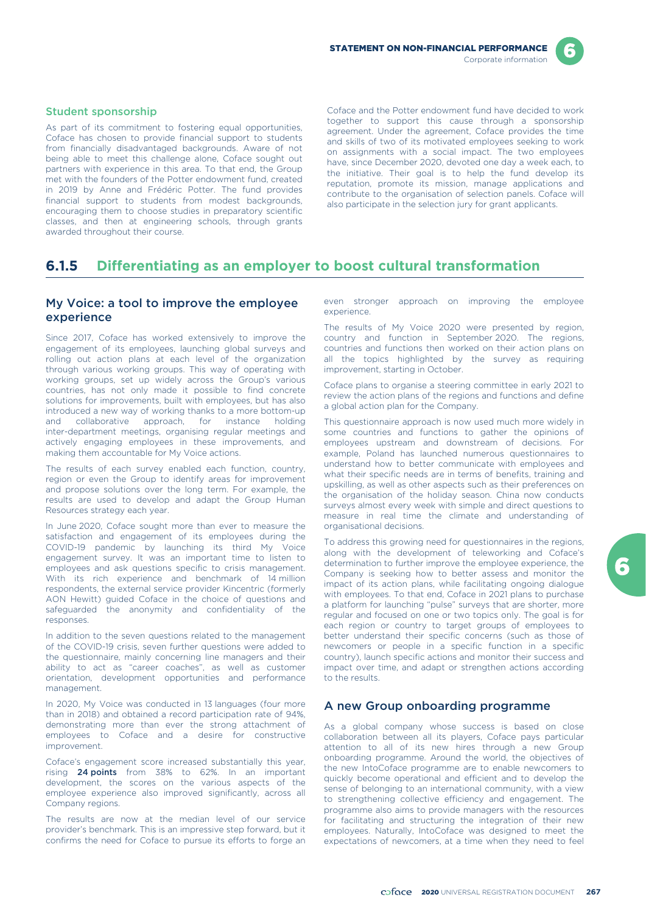

#### Student sponsorship

As part of its commitment to fostering equal opportunities, Coface has chosen to provide financial support to students from financially disadvantaged backgrounds. Aware of not being able to meet this challenge alone, Coface sought out partners with experience in this area. To that end, the Group met with the founders of the Potter endowment fund, created in 2019 by Anne and Frédéric Potter. The fund provides financial support to students from modest backgrounds, encouraging them to choose studies in preparatory scientific classes, and then at engineering schools, through grants awarded throughout their course.

Coface and the Potter endowment fund have decided to work together to support this cause through a sponsorship agreement. Under the agreement, Coface provides the time and skills of two of its motivated employees seeking to work on assignments with a social impact. The two employees have, since December 2020, devoted one day a week each, to the initiative. Their goal is to help the fund develop its reputation, promote its mission, manage applications and contribute to the organisation of selection panels. Coface will also participate in the selection jury for grant applicants.

# **6.1.5 Differentiating as an employer to boost cultural transformation**

## My Voice: a tool to improve the employee experience

Since 2017, Coface has worked extensively to improve the engagement of its employees, launching global surveys and rolling out action plans at each level of the organization through various working groups. This way of operating with working groups, set up widely across the Group's various countries, has not only made it possible to find concrete solutions for improvements, built with employees, but has also introduced a new way of working thanks to a more bottom-up<br>and collaborative approach, for instance holding and collaborative approach, for instance inter-department meetings, organising regular meetings and actively engaging employees in these improvements, and making them accountable for My Voice actions.

The results of each survey enabled each function, country, region or even the Group to identify areas for improvement and propose solutions over the long term. For example, the results are used to develop and adapt the Group Human Resources strategy each year.

In June 2020, Coface sought more than ever to measure the satisfaction and engagement of its employees during the COVID-19 pandemic by launching its third My Voice engagement survey. It was an important time to listen to employees and ask questions specific to crisis management. With its rich experience and benchmark of 14 million respondents, the external service provider Kincentric (formerly AON Hewitt) guided Coface in the choice of questions and safeguarded the anonymity and confidentiality of the responses.

In addition to the seven questions related to the management of the COVID-19 crisis, seven further questions were added to the questionnaire, mainly concerning line managers and their ability to act as "career coaches", as well as customer orientation, development opportunities and performance management.

In 2020, My Voice was conducted in 13 languages (four more than in 2018) and obtained a record participation rate of 94%, demonstrating more than ever the strong attachment of employees to Coface and a desire for constructive improvement.

Coface's engagement score increased substantially this year, rising 24 points from 38% to 62%. In an important development, the scores on the various aspects of the employee experience also improved significantly, across all Company regions.

The results are now at the median level of our service provider's benchmark. This is an impressive step forward, but it confirms the need for Coface to pursue its efforts to forge an

even stronger approach on improving the employee experience.

The results of My Voice 2020 were presented by region, country and function in September 2020. The regions, countries and functions then worked on their action plans on all the topics highlighted by the survey as requiring improvement, starting in October.

Coface plans to organise a steering committee in early 2021 to review the action plans of the regions and functions and define a global action plan for the Company.

This questionnaire approach is now used much more widely in some countries and functions to gather the opinions of employees upstream and downstream of decisions. For example, Poland has launched numerous questionnaires to understand how to better communicate with employees and what their specific needs are in terms of benefits, training and upskilling, as well as other aspects such as their preferences on the organisation of the holiday season. China now conducts surveys almost every week with simple and direct questions to measure in real time the climate and understanding of organisational decisions.

To address this growing need for questionnaires in the regions, along with the development of teleworking and Coface's determination to further improve the employee experience, the Company is seeking how to better assess and monitor the impact of its action plans, while facilitating ongoing dialogue with employees. To that end, Coface in 2021 plans to purchase a platform for launching "pulse" surveys that are shorter, more regular and focused on one or two topics only. The goal is for each region or country to target groups of employees to better understand their specific concerns (such as those of newcomers or people in a specific function in a specific country), launch specific actions and monitor their success and impact over time, and adapt or strengthen actions according to the results.

### A new Group onboarding programme

As a global company whose success is based on close collaboration between all its players, Coface pays particular attention to all of its new hires through a new Group onboarding programme. Around the world, the objectives of the new IntoCoface programme are to enable newcomers to quickly become operational and efficient and to develop the sense of belonging to an international community, with a view to strengthening collective efficiency and engagement. The programme also aims to provide managers with the resources for facilitating and structuring the integration of their new employees. Naturally, IntoCoface was designed to meet the expectations of newcomers, at a time when they need to feel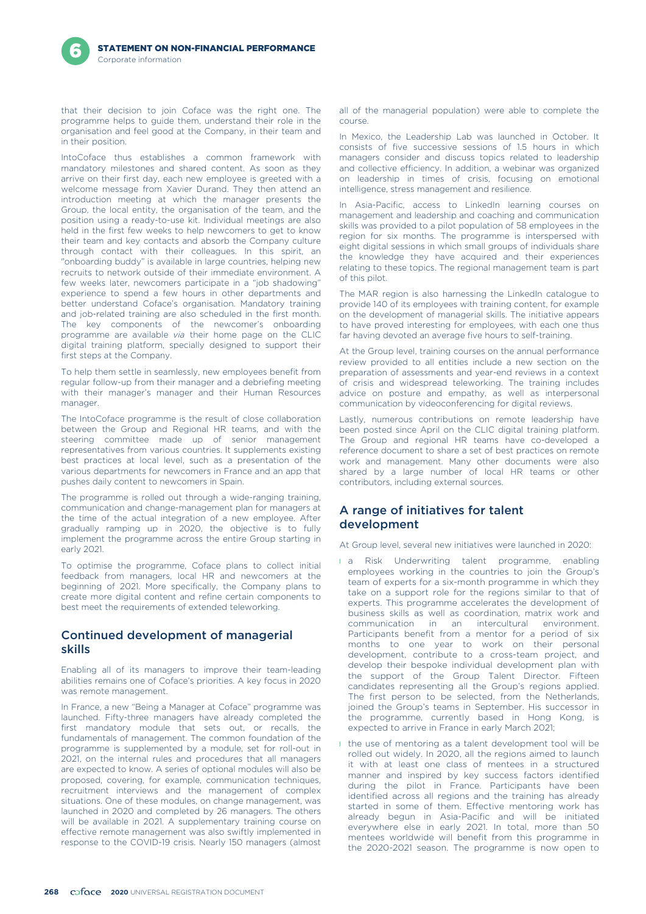that their decision to join Coface was the right one. The programme helps to guide them, understand their role in the organisation and feel good at the Company, in their team and in their position.

IntoCoface thus establishes a common framework with mandatory milestones and shared content. As soon as they arrive on their first day, each new employee is greeted with a welcome message from Xavier Durand. They then attend an introduction meeting at which the manager presents the Group, the local entity, the organisation of the team, and the position using a ready-to-use kit. Individual meetings are also held in the first few weeks to help newcomers to get to know their team and key contacts and absorb the Company culture through contact with their colleagues. In this spirit, an "onboarding buddy" is available in large countries, helping new recruits to network outside of their immediate environment. A few weeks later, newcomers participate in a "job shadowing" experience to spend a few hours in other departments and better understand Coface's organisation. Mandatory training and job-related training are also scheduled in the first month. The key components of the newcomer's onboarding programme are available *via* their home page on the CLIC digital training platform, specially designed to support their first steps at the Company.

To help them settle in seamlessly, new employees benefit from regular follow-up from their manager and a debriefing meeting with their manager's manager and their Human Resources manager.

The IntoCoface programme is the result of close collaboration between the Group and Regional HR teams, and with the steering committee made up of senior management representatives from various countries. It supplements existing best practices at local level, such as a presentation of the various departments for newcomers in France and an app that pushes daily content to newcomers in Spain.

The programme is rolled out through a wide-ranging training, communication and change-management plan for managers at the time of the actual integration of a new employee. After gradually ramping up in 2020, the objective is to fully implement the programme across the entire Group starting in early 2021.

To optimise the programme, Coface plans to collect initial feedback from managers, local HR and newcomers at the beginning of 2021. More specifically, the Company plans to create more digital content and refine certain components to best meet the requirements of extended teleworking.

## Continued development of managerial skills

Enabling all of its managers to improve their team-leading abilities remains one of Coface's priorities. A key focus in 2020 was remote management.

In France, a new "Being a Manager at Coface" programme was launched. Fifty-three managers have already completed the first mandatory module that sets out, or recalls, the fundamentals of management. The common foundation of the programme is supplemented by a module, set for roll-out in 2021, on the internal rules and procedures that all managers are expected to know. A series of optional modules will also be proposed, covering, for example, communication techniques, recruitment interviews and the management of complex situations. One of these modules, on change management, was launched in 2020 and completed by 26 managers. The others will be available in 2021. A supplementary training course on effective remote management was also swiftly implemented in response to the COVID-19 crisis. Nearly 150 managers (almost

all of the managerial population) were able to complete the course.

In Mexico, the Leadership Lab was launched in October. It consists of five successive sessions of 1.5 hours in which managers consider and discuss topics related to leadership and collective efficiency. In addition, a webinar was organized on leadership in times of crisis, focusing on emotional intelligence, stress management and resilience.

In Asia-Pacific, access to LinkedIn learning courses on management and leadership and coaching and communication skills was provided to a pilot population of 58 employees in the region for six months. The programme is interspersed with eight digital sessions in which small groups of individuals share the knowledge they have acquired and their experiences relating to these topics. The regional management team is part of this pilot.

The MAR region is also harnessing the LinkedIn catalogue to provide 140 of its employees with training content, for example on the development of managerial skills. The initiative appears to have proved interesting for employees, with each one thus far having devoted an average five hours to self-training.

At the Group level, training courses on the annual performance review provided to all entities include a new section on the preparation of assessments and year-end reviews in a context of crisis and widespread teleworking. The training includes advice on posture and empathy, as well as interpersonal communication by videoconferencing for digital reviews.

Lastly, numerous contributions on remote leadership have been posted since April on the CLIC digital training platform. The Group and regional HR teams have co-developed a reference document to share a set of best practices on remote work and management. Many other documents were also shared by a large number of local HR teams or other contributors, including external sources.

## A range of initiatives for talent development

At Group level, several new initiatives were launched in 2020:

- **a** Risk Underwriting talent programme, enabling employees working in the countries to join the Group's team of experts for a six-month programme in which they take on a support role for the regions similar to that of experts. This programme accelerates the development of business skills as well as coordination, matrix work and communication in an intercultural environment. Participants benefit from a mentor for a period of six months to one year to work on their personal development, contribute to a cross-team project, and develop their bespoke individual development plan with the support of the Group Talent Director. Fifteen candidates representing all the Group's regions applied. The first person to be selected, from the Netherlands, joined the Group's teams in September. His successor in the programme, currently based in Hong Kong, is expected to arrive in France in early March 2021;
- I the use of mentoring as a talent development tool will be rolled out widely. In 2020, all the regions aimed to launch it with at least one class of mentees in a structured manner and inspired by key success factors identified during the pilot in France. Participants have been identified across all regions and the training has already started in some of them. Effective mentoring work has already begun in Asia-Pacific and will be initiated everywhere else in early 2021. In total, more than 50 mentees worldwide will benefit from this programme in the 2020-2021 season. The programme is now open to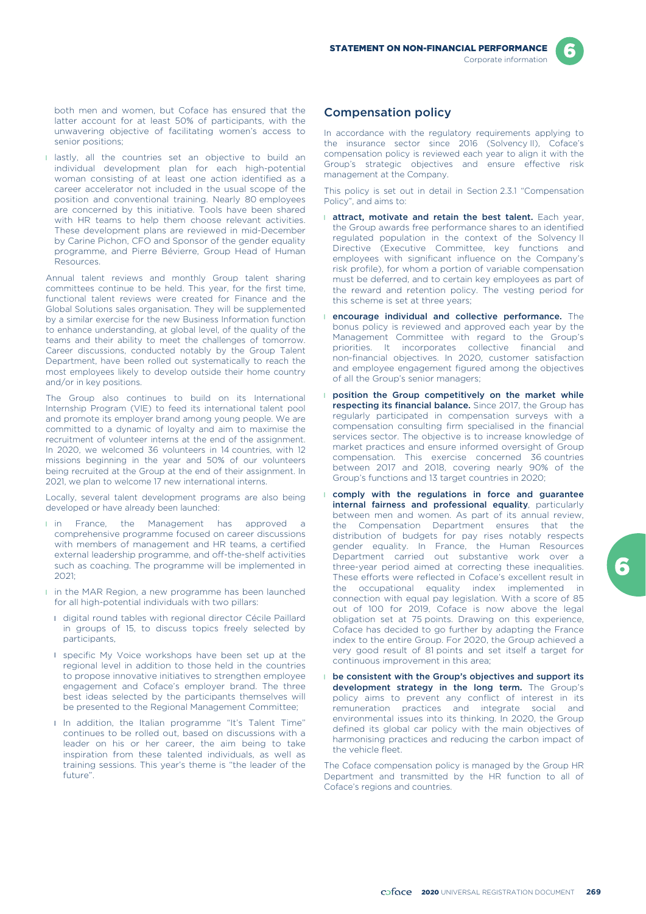both men and women, but Coface has ensured that the latter account for at least 50% of participants, with the unwavering objective of facilitating women's access to senior positions;

**I** lastly, all the countries set an objective to build an individual development plan for each high-potential woman consisting of at least one action identified as a career accelerator not included in the usual scope of the position and conventional training. Nearly 80 employees are concerned by this initiative. Tools have been shared with HR teams to help them choose relevant activities. These development plans are reviewed in mid-December by Carine Pichon, CFO and Sponsor of the gender equality programme, and Pierre Bévierre, Group Head of Human Resources.

Annual talent reviews and monthly Group talent sharing committees continue to be held. This year, for the first time, functional talent reviews were created for Finance and the Global Solutions sales organisation. They will be supplemented by a similar exercise for the new Business Information function to enhance understanding, at global level, of the quality of the teams and their ability to meet the challenges of tomorrow. Career discussions, conducted notably by the Group Talent Department, have been rolled out systematically to reach the most employees likely to develop outside their home country and/or in key positions.

The Group also continues to build on its International Internship Program (VIE) to feed its international talent pool and promote its employer brand among young people. We are committed to a dynamic of loyalty and aim to maximise the recruitment of volunteer interns at the end of the assignment. In 2020, we welcomed 36 volunteers in 14 countries, with 12 missions beginning in the year and 50% of our volunteers being recruited at the Group at the end of their assignment. In 2021, we plan to welcome 17 new international interns.

Locally, several talent development programs are also being developed or have already been launched:

- I in France, the Management has approved a comprehensive programme focused on career discussions with members of management and HR teams, a certified external leadership programme, and off-the-shelf activities such as coaching. The programme will be implemented in 2021;
- **I** in the MAR Region, a new programme has been launched for all high-potential individuals with two pillars:
	- l digital round tables with regional director Cécile Paillard in groups of 15, to discuss topics freely selected by participants,
	- **I** specific My Voice workshops have been set up at the regional level in addition to those held in the countries to propose innovative initiatives to strengthen employee engagement and Coface's employer brand. The three best ideas selected by the participants themselves will be presented to the Regional Management Committee;
	- I In addition, the Italian programme "It's Talent Time" continues to be rolled out, based on discussions with a leader on his or her career, the aim being to take inspiration from these talented individuals, as well as training sessions. This year's theme is "the leader of the future".

# Compensation policy

In accordance with the regulatory requirements applying to the insurance sector since 2016 (Solvency II), Coface's compensation policy is reviewed each year to align it with the Group's strategic objectives and ensure effective risk management at the Company.

This policy is set out in detail in Section 2.3.1 "Compensation Policy", and aims to:

- **I attract, motivate and retain the best talent.** Each year, the Group awards free performance shares to an identified regulated population in the context of the Solvency II Directive (Executive Committee, key functions and employees with significant influence on the Company's risk profile), for whom a portion of variable compensation must be deferred, and to certain key employees as part of the reward and retention policy. The vesting period for this scheme is set at three years;
- **I** encourage individual and collective performance. The bonus policy is reviewed and approved each year by the Management Committee with regard to the Group's priorities. It incorporates collective financial and non-financial objectives. In 2020, customer satisfaction and employee engagement figured among the objectives of all the Group's senior managers;
- **I** position the Group competitively on the market while respecting its financial balance. Since 2017, the Group has regularly participated in compensation surveys with a compensation consulting firm specialised in the financial services sector. The objective is to increase knowledge of market practices and ensure informed oversight of Group compensation. This exercise concerned 36 countries between 2017 and 2018, covering nearly 90% of the Group's functions and 13 target countries in 2020;
- l comply with the regulations in force and guarantee internal fairness and professional equality, particularly between men and women. As part of its annual review, the Compensation Department ensures that the distribution of budgets for pay rises notably respects gender equality. In France, the Human Resources Department carried out substantive work over a three-year period aimed at correcting these inequalities. These efforts were reflected in Coface's excellent result in the occupational equality index implemented in connection with equal pay legislation. With a score of 85 out of 100 for 2019, Coface is now above the legal obligation set at 75 points. Drawing on this experience, Coface has decided to go further by adapting the France index to the entire Group. For 2020, the Group achieved a very good result of 81 points and set itself a target for continuous improvement in this area;
- be consistent with the Group's objectives and support its development strategy in the long term. The Group's policy aims to prevent any conflict of interest in its remuneration practices and integrate social and environmental issues into its thinking. In 2020, the Group defined its global car policy with the main objectives of harmonising practices and reducing the carbon impact of the vehicle fleet.

The Coface compensation policy is managed by the Group HR Department and transmitted by the HR function to all of Coface's regions and countries.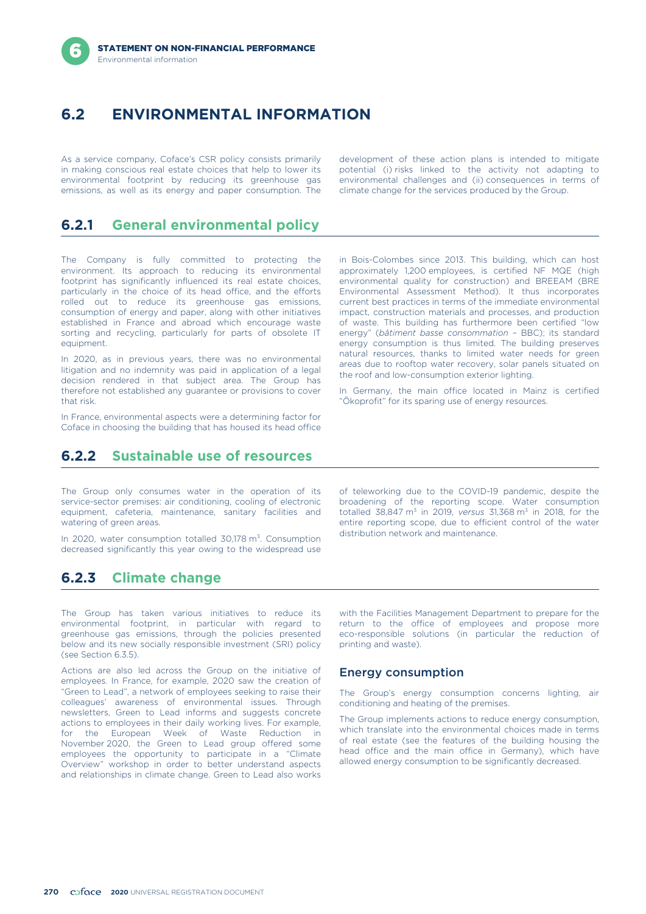# **6.2 ENVIRONMENTAL INFORMATION**

As a service company, Coface's CSR policy consists primarily development of these action plans is intended to mitigate in making conscious real estate choices that help to lower its potential (i) risks linked to the activity not adapting to environmental footprint by reducing its greenhouse gas environmental challenges and (ii) consequences in terms of emissions, as well as its energy and paper consumption. The climate change for the services produced by the emissions, as well as its energy and paper consumption. The

# **6.2.1 General environmental policy**

The Company is fully committed to protecting the environment. Its approach to reducing its environmental footprint has significantly influenced its real estate choices, particularly in the choice of its head office, and the efforts rolled out to reduce its greenhouse gas emissions, consumption of energy and paper, along with other initiatives established in France and abroad which encourage waste sorting and recycling, particularly for parts of obsolete IT equipment.

In 2020, as in previous years, there was no environmental litigation and no indemnity was paid in application of a legal decision rendered in that subject area. The Group has therefore not established any guarantee or provisions to cover that risk.

In France, environmental aspects were a determining factor for Coface in choosing the building that has housed its head office

in Bois-Colombes since 2013. This building, which can host approximately 1,200 employees, is certified NF MQE (high environmental quality for construction) and BREEAM (BRE Environmental Assessment Method). It thus incorporates current best practices in terms of the immediate environmental impact, construction materials and processes, and production of waste. This building has furthermore been certified "low energy" (*bâtiment basse consommation* – BBC); its standard energy consumption is thus limited. The building preserves natural resources, thanks to limited water needs for green areas due to rooftop water recovery, solar panels situated on the roof and low-consumption exterior lighting.

In Germany, the main office located in Mainz is certified "Ökoprofit" for its sparing use of energy resources.

# **6.2.2 Sustainable use of resources**

The Group only consumes water in the operation of its service-sector premises: air conditioning, cooling of electronic equipment, cafeteria, maintenance, sanitary facilities and watering of green areas.

ln 2020, water consumption totalled 30,178 m<sup>3</sup>. Consumption alistribution network and maintenance. decreased significantly this year owing to the widespread use

**6.2.3 Climate change**

The Group has taken various initiatives to reduce its environmental footprint, in particular with regard to greenhouse gas emissions, through the policies presented below and its new socially responsible investment (SRI) policy (see Section 6.3.5).

Actions are also led across the Group on the initiative of employees. In France, for example, 2020 saw the creation of "Green to Lead", a network of employees seeking to raise their colleagues' awareness of environmental issues. Through newsletters, Green to Lead informs and suggests concrete actions to employees in their daily working lives. For example, for the European Week of Waste Reduction in November 2020, the Green to Lead group offered some employees the opportunity to participate in a "Climate Overview" workshop in order to better understand aspects and relationships in climate change. Green to Lead also works

totalled 38,847 m3 in 2019, *versus* 31,368 m3 in 2018, for the entire reporting scope, due to efficient control of the water distribution network and maintenance.

of teleworking due to the COVID-19 pandemic, despite the broadening of the reporting scope. Water consumption

with the Facilities Management Department to prepare for the return to the office of employees and propose more eco-responsible solutions (in particular the reduction of printing and waste).

## Energy consumption

The Group's energy consumption concerns lighting, air conditioning and heating of the premises.

The Group implements actions to reduce energy consumption, which translate into the environmental choices made in terms of real estate (see the features of the building housing the head office and the main office in Germany), which have allowed energy consumption to be significantly decreased.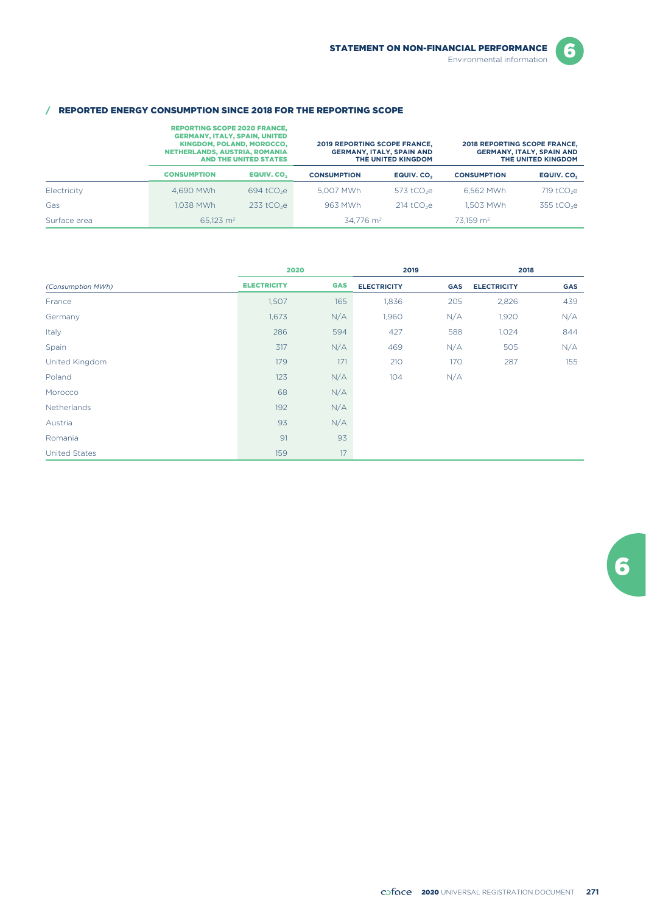6

### / REPORTED ENERGY CONSUMPTION SINCE 2018 FOR THE REPORTING SCOPE

|              | <b>REPORTING SCOPE 2020 FRANCE.</b><br><b>GERMANY, ITALY, SPAIN, UNITED</b><br><b>KINGDOM, POLAND, MOROCCO,</b><br>NETHERLANDS, AUSTRIA, ROMANIA<br><b>AND THE UNITED STATES</b> |                          | <b>2019 REPORTING SCOPE FRANCE,</b> | <b>GERMANY, ITALY, SPAIN AND</b><br>THE UNITED KINGDOM | <b>2018 REPORTING SCOPE FRANCE,</b><br><b>GERMANY, ITALY, SPAIN AND</b><br>THE UNITED KINGDOM |                        |
|--------------|----------------------------------------------------------------------------------------------------------------------------------------------------------------------------------|--------------------------|-------------------------------------|--------------------------------------------------------|-----------------------------------------------------------------------------------------------|------------------------|
|              | <b>CONSUMPTION</b>                                                                                                                                                               | EQUIV. CO <sub>2</sub>   | <b>CONSUMPTION</b>                  | EQUIV. CO.                                             | <b>CONSUMPTION</b>                                                                            | EQUIV. CO <sub>2</sub> |
| Electricity  | 4.690 MWh                                                                                                                                                                        | $694$ tCO <sub>2</sub> e | 5.007 MWh                           | 573 tCO $2e$                                           | 6.562 MWh                                                                                     | 719 $tCO2e$            |
| Gas          | 1.038 MWh                                                                                                                                                                        | $233$ tCO <sub>2</sub> e | 963 MWh                             | $214$ tCO <sub>2</sub> e                               | 1.503 MWh                                                                                     | 355 tCO <sub>2</sub> e |
| Surface area | 65.123 $m2$                                                                                                                                                                      |                          | $34.776$ m <sup>2</sup>             |                                                        | $73.159$ m <sup>2</sup>                                                                       |                        |

|                      | 2020               |            | 2019               |            | 2018               |            |  |
|----------------------|--------------------|------------|--------------------|------------|--------------------|------------|--|
| (Consumption MWh)    | <b>ELECTRICITY</b> | <b>GAS</b> | <b>ELECTRICITY</b> | <b>GAS</b> | <b>ELECTRICITY</b> | <b>GAS</b> |  |
| France               | 1,507              | 165        | 1,836              | 205        | 2,826              | 439        |  |
| Germany              | 1,673              | N/A        | 1,960              | N/A        | 1,920              | N/A        |  |
| Italy                | 286                | 594        | 427                | 588        | 1,024              | 844        |  |
| Spain                | 317                | N/A        | 469                | N/A        | 505                | N/A        |  |
| United Kingdom       | 179                | 171        | 210                | 170        | 287                | 155        |  |
| Poland               | 123                | N/A        | 104                | N/A        |                    |            |  |
| Morocco              | 68                 | N/A        |                    |            |                    |            |  |
| Netherlands          | 192                | N/A        |                    |            |                    |            |  |
| Austria              | 93                 | N/A        |                    |            |                    |            |  |
| Romania              | 91                 | 93         |                    |            |                    |            |  |
| <b>United States</b> | 159                | 17         |                    |            |                    |            |  |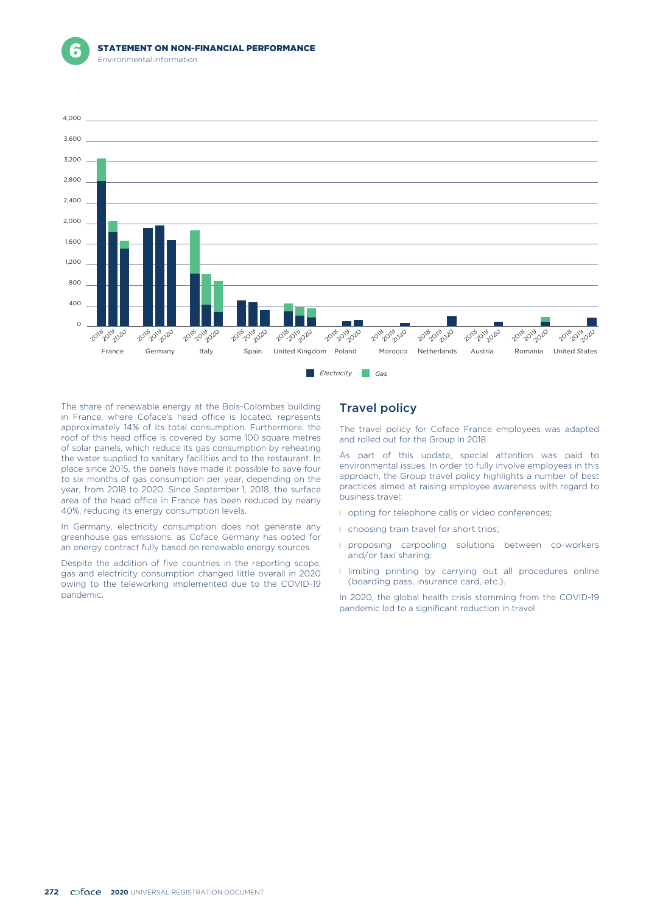



The share of renewable energy at the Bois-Colombes building in France, where Coface's head office is located, represents approximately 14% of its total consumption. Furthermore, the roof of this head office is covered by some 100 square metres of solar panels, which reduce its gas consumption by reheating the water supplied to sanitary facilities and to the restaurant. In place since 2015, the panels have made it possible to save four to six months of gas consumption per year, depending on the year, from 2018 to 2020. Since September 1, 2018, the surface area of the head office in France has been reduced by nearly 40%, reducing its energy consumption levels.

In Germany, electricity consumption does not generate any greenhouse gas emissions, as Coface Germany has opted for an energy contract fully based on renewable energy sources.

Despite the addition of five countries in the reporting scope, gas and electricity consumption changed little overall in 2020 owing to the teleworking implemented due to the COVID-19 pandemic.

## Travel policy

The travel policy for Coface France employees was adapted and rolled out for the Group in 2018.

As part of this update, special attention was paid to environmental issues. In order to fully involve employees in this approach, the Group travel policy highlights a number of best practices aimed at raising employee awareness with regard to business travel:

- **I** opting for telephone calls or video conferences;
- **I** choosing train travel for short trips;
- **I** proposing carpooling solutions between co-workers and/or taxi sharing;
- **I** limiting printing by carrying out all procedures online (boarding pass, insurance card, etc.).

In 2020, the global health crisis stemming from the COVID-19 pandemic led to a significant reduction in travel.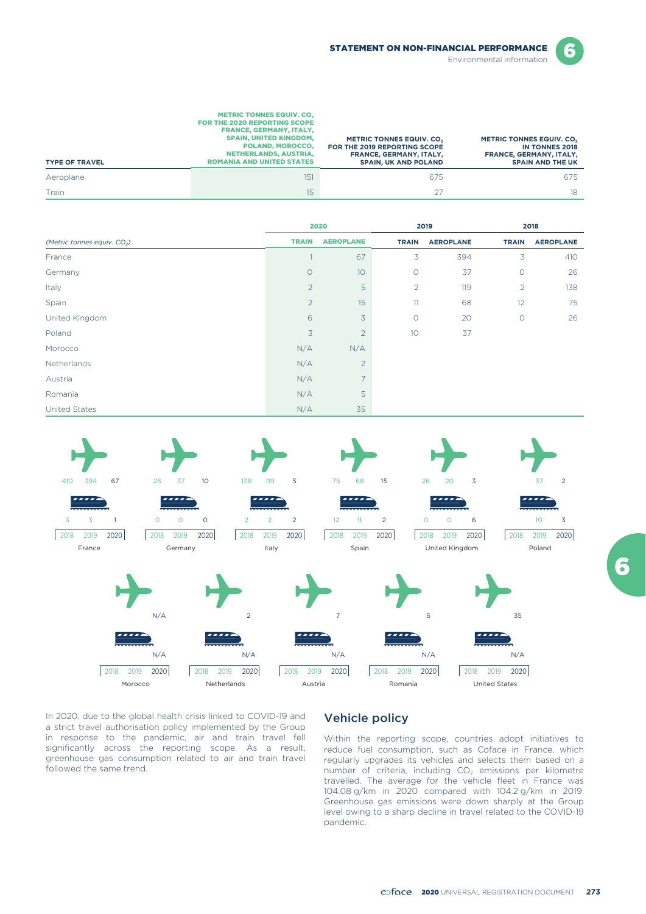

6

| <b>TYPE OF TRAVEL</b> | <b>METRIC TONNES EQUIV. CO.</b><br><b>FOR THE 2020 REPORTING SCOPE</b><br><b>FRANCE, GERMANY, ITALY.</b><br><b>SPAIN, UNITED KINGDOM.</b><br>POLAND, MOROCCO,<br><b>NETHERLANDS, AUSTRIA.</b><br><b>ROMANIA AND UNITED STATES</b> | <b>METRIC TONNES EQUIV. CO.</b><br>FOR THE 2019 REPORTING SCOPE<br><b>FRANCE, GERMANY, ITALY.</b><br><b>SPAIN, UK AND POLAND</b> | <b>METRIC TONNES EQUIV. CO.</b><br><b>IN TONNES 2018</b><br><b>FRANCE, GERMANY, ITALY,</b><br><b>SPAIN AND THE UK</b> |
|-----------------------|-----------------------------------------------------------------------------------------------------------------------------------------------------------------------------------------------------------------------------------|----------------------------------------------------------------------------------------------------------------------------------|-----------------------------------------------------------------------------------------------------------------------|
| Aeroplane             | 151                                                                                                                                                                                                                               | 675                                                                                                                              | 675                                                                                                                   |
| Train                 | 15                                                                                                                                                                                                                                |                                                                                                                                  | 18                                                                                                                    |

|                                         | 2020           |                  | 2019           |                  |                | 2018             |  |
|-----------------------------------------|----------------|------------------|----------------|------------------|----------------|------------------|--|
| (Metric tonnes equiv. CO <sub>2</sub> ) | <b>TRAIN</b>   | <b>AEROPLANE</b> | <b>TRAIN</b>   | <b>AEROPLANE</b> | <b>TRAIN</b>   | <b>AEROPLANE</b> |  |
| France                                  |                | 67               | 3              | 394              | 3              | 410              |  |
| Germany                                 | $\circ$        | 10               | $\circ$        | 37               | $\circ$        | 26               |  |
| Italy                                   | $\overline{2}$ | 5                | $\overline{2}$ | 119              | $\overline{2}$ | 138              |  |
| Spain                                   | $\overline{2}$ | 15               | 11             | 68               | 12             | 75               |  |
| United Kingdom                          | 6              | 3                | $\circ$        | 20               | $\circ$        | 26               |  |
| Poland                                  | $\overline{3}$ | $\overline{c}$   | 10             | 37               |                |                  |  |
| Morocco                                 | N/A            | N/A              |                |                  |                |                  |  |
| Netherlands                             | N/A            | $\overline{2}$   |                |                  |                |                  |  |
| Austria                                 | N/A            | $\overline{7}$   |                |                  |                |                  |  |
| Romania                                 | N/A            | 5                |                |                  |                |                  |  |
| <b>United States</b>                    | N/A            | 35               |                |                  |                |                  |  |



In 2020, due to the global health crisis linked to COVID-19 and a strict travel authorisation policy implemented by the Group in response to the pandemic, air and train travel fell significantly across the reporting scope. As a result, greenhouse gas consumption related to air and train travel followed the same trend.

## Vehicle policy

Within the reporting scope, countries adopt initiatives to reduce fuel consumption, such as Coface in France, which regularly upgrades its vehicles and selects them based on a number of criteria, including  $CO<sub>2</sub>$  emissions per kilometre travelled. The average for the vehicle fleet in France was 104.08 g/km in 2020 compared with 104.2 g/km in 2019. Greenhouse gas emissions were down sharply at the Group level owing to a sharp decline in travel related to the COVID-19 pandemic.

2020 UNIVERSAL REGISTRATION DOCUMENT **273**

6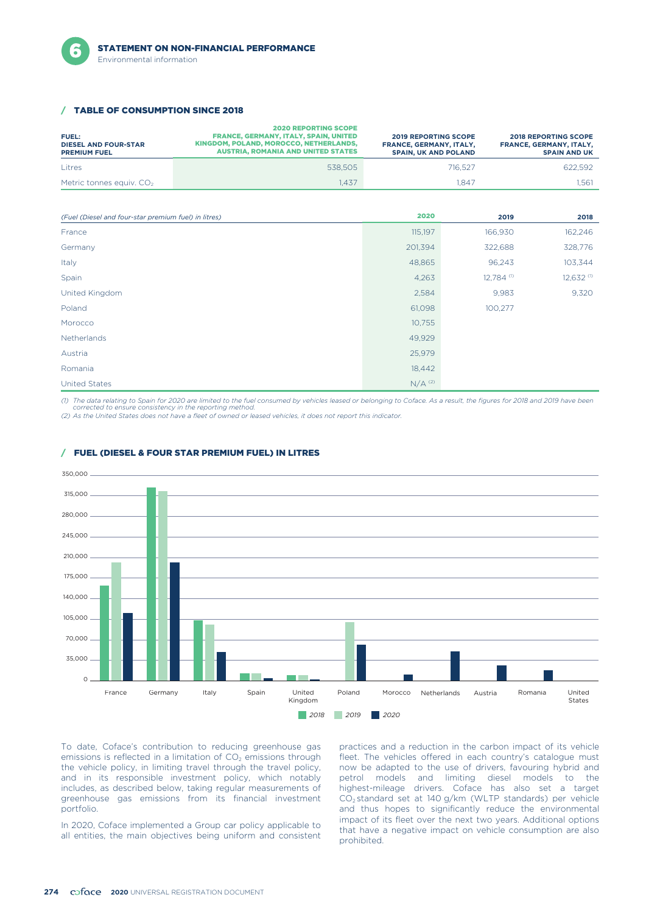

#### **TABLE OF CONSUMPTION SINCE 2018**

| <b>FUEL:</b><br><b>DIESEL AND FOUR-STAR</b><br><b>PREMIUM FUEL</b> | <b>2020 REPORTING SCOPE</b><br><b>FRANCE, GERMANY, ITALY, SPAIN, UNITED</b><br>KINGDOM, POLAND, MOROCCO, NETHERLANDS,<br><b>AUSTRIA, ROMANIA AND UNITED STATES</b> | <b>2019 REPORTING SCOPE</b><br>FRANCE, GERMANY, ITALY,<br><b>SPAIN, UK AND POLAND</b> | <b>2018 REPORTING SCOPE</b><br><b>FRANCE, GERMANY, ITALY,</b><br><b>SPAIN AND UK</b> |
|--------------------------------------------------------------------|--------------------------------------------------------------------------------------------------------------------------------------------------------------------|---------------------------------------------------------------------------------------|--------------------------------------------------------------------------------------|
| Litres                                                             | 538.505                                                                                                                                                            | 716.527                                                                               | 622.592                                                                              |
| Metric tonnes equiv. CO <sub>2</sub>                               | .437                                                                                                                                                               | 1.847                                                                                 | .561                                                                                 |

| (Fuel (Diesel and four-star premium fuel) in litres) | 2020      | 2019       | 2018                    |
|------------------------------------------------------|-----------|------------|-------------------------|
| France                                               | 115,197   | 166,930    | 162,246                 |
| Germany                                              | 201,394   | 322,688    | 328,776                 |
| Italy                                                | 48,865    | 96,243     | 103,344                 |
| Spain                                                | 4,263     | 12,784 (1) | $12,632$ <sup>(1)</sup> |
| United Kingdom                                       | 2,584     | 9,983      | 9,320                   |
| Poland                                               | 61,098    | 100,277    |                         |
| Morocco                                              | 10,755    |            |                         |
| Netherlands                                          | 49,929    |            |                         |
| Austria                                              | 25,979    |            |                         |
| Romania                                              | 18,442    |            |                         |
| <b>United States</b>                                 | $N/A$ (2) |            |                         |

*(1) The data relating to Spain for 2020 are limited to the fuel consumed by vehicles leased or belonging to Coface. As a result, the figures for 2018 and 2019 have been corrected to ensure consistency in the reporting method.*

*(2) As the United States does not have a fleet of owned or leased vehicles, it does not report this indicator.*



### / FUEL (DIESEL & FOUR STAR PREMIUM FUEL) IN LITRES

To date, Coface's contribution to reducing greenhouse gas emissions is reflected in a limitation of  $CO<sub>2</sub>$  emissions through the vehicle policy, in limiting travel through the travel policy, and in its responsible investment policy, which notably includes, as described below, taking regular measurements of greenhouse gas emissions from its financial investment portfolio.

practices and a reduction in the carbon impact of its vehicle fleet. The vehicles offered in each country's catalogue must now be adapted to the use of drivers, favouring hybrid and petrol models and limiting diesel models to the highest-mileage drivers. Coface has also set a target CO2 standard set at 140 g/km (WLTP standards) per vehicle and thus hopes to significantly reduce the environmental In 2020, Coface implemented a Group car policy applicable to<br>all entities, the main objectives being uniform and consistent<br>prohibited.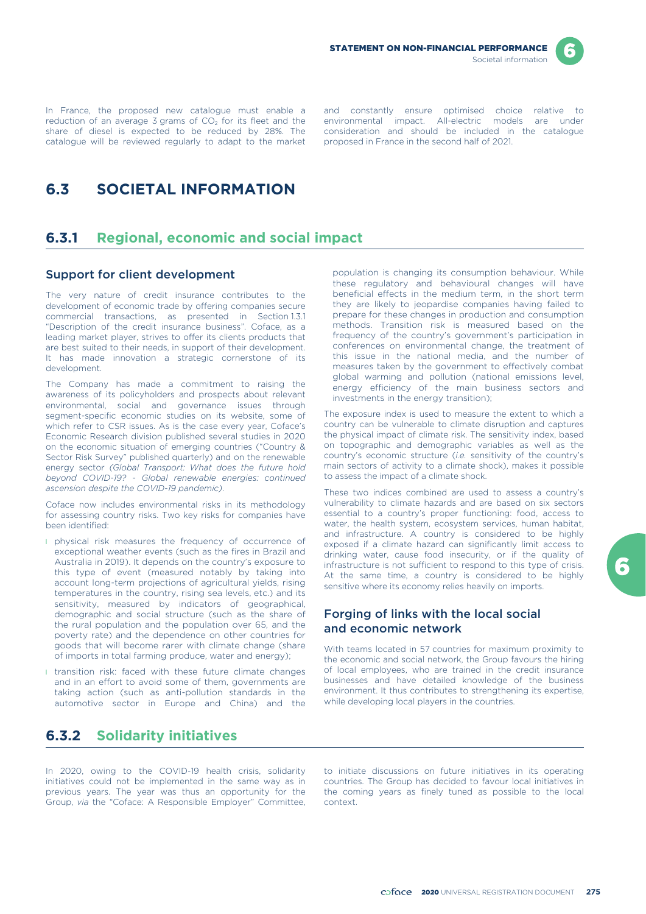

reduction of an average 3 grams of  $CO<sub>2</sub>$  for its fleet and the environmental impact. All-electric models are under share of diesel is expected to be reduced by 28%. The consideration and should be included in the cat share of diesel is expected to be reduced by 28%. The consideration and should be included in catalogue will be reviewed regularly to adapt to the market proposed in France in the second half of 2021. catalogue will be reviewed regularly to adapt to the market

In France, the proposed new catalogue must enable a and constantly ensure optimised choice relative to reduction of an average 3 grams of  $CO<sub>2</sub>$  for its fleet and the environmental impact. All-electric models are unde

population is changing its consumption behaviour. While these regulatory and behavioural changes will have beneficial effects in the medium term, in the short term they are likely to jeopardise companies having failed to prepare for these changes in production and consumption methods. Transition risk is measured based on the frequency of the country's government's participation in conferences on environmental change, the treatment of this issue in the national media, and the number of measures taken by the government to effectively combat global warming and pollution (national emissions level, energy efficiency of the main business sectors and

# **6.3 SOCIETAL INFORMATION**

# **6.3.1 Regional, economic and social impact**

## Support for client development

The very nature of credit insurance contributes to the development of economic trade by offering companies secure commercial transactions, as presented in Section 1.3.1 "Description of the credit insurance business". Coface, as a leading market player, strives to offer its clients products that are best suited to their needs, in support of their development. It has made innovation a strategic cornerstone of its development.

The Company has made a commitment to raising the awareness of its policyholders and prospects about relevant environmental, social and governance issues through segment-specific economic studies on its website, some of which refer to CSR issues. As is the case every year, Coface's Economic Research division published several studies in 2020 on the economic situation of emerging countries ("Country & Sector Risk Survey" published quarterly) and on the renewable energy sector *(Global Transport: What does the future hold beyond COVID-19? - Global renewable energies: continued ascension despite the COVID-19 pandemic)*.

Coface now includes environmental risks in its methodology for assessing country risks. Two key risks for companies have been identified:

- **I** physical risk measures the frequency of occurrence of exceptional weather events (such as the fires in Brazil and Australia in 2019). It depends on the country's exposure to this type of event (measured notably by taking into account long-term projections of agricultural yields, rising temperatures in the country, rising sea levels, etc.) and its sensitivity, measured by indicators of geographical, demographic and social structure (such as the share of the rural population and the population over 65, and the poverty rate) and the dependence on other countries for goods that will become rarer with climate change (share of imports in total farming produce, water and energy);
- **I** transition risk: faced with these future climate changes and in an effort to avoid some of them, governments are taking action (such as anti-pollution standards in the automotive sector in Europe and China) and the

# **6.3.2 Solidarity initiatives**

In 2020, owing to the COVID-19 health crisis, solidarity to initiate discussions on future initiatives in its operating initiatives could not be implemented in the same way as in countries. The Group has decided to favour local initiatives in previous years. The year was thus an opportunity for the the coming years as finely tuned as possib previous years. The year was thus an opportunity for the Group, *via* the "Coface: A Responsible Employer" Committee, context.

main sectors of activity to a climate shock), makes it possible to assess the impact of a climate shock. These two indices combined are used to assess a country's vulnerability to climate hazards and are based on six sectors essential to a country's proper functioning: food, access to water, the health system, ecosystem services, human habitat, and infrastructure. A country is considered to be highly exposed if a climate hazard can significantly limit access to drinking water, cause food insecurity, or if the quality of

The exposure index is used to measure the extent to which a country can be vulnerable to climate disruption and captures the physical impact of climate risk. The sensitivity index, based on topographic and demographic variables as well as the country's economic structure (*i.e.* sensitivity of the country's

infrastructure is not sufficient to respond to this type of crisis. At the same time, a country is considered to be highly sensitive where its economy relies heavily on imports.

## Forging of links with the local social and economic network

investments in the energy transition);

With teams located in 57 countries for maximum proximity to the economic and social network, the Group favours the hiring of local employees, who are trained in the credit insurance businesses and have detailed knowledge of the business environment. It thus contributes to strengthening its expertise, while developing local players in the countries.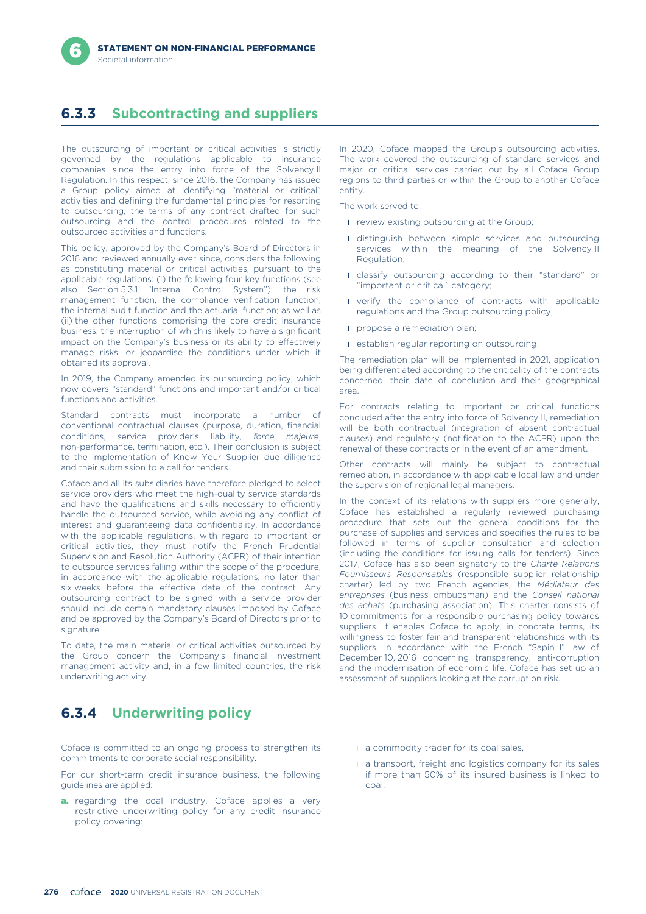# **6.3.3 Subcontracting and suppliers**

The outsourcing of important or critical activities is strictly governed by the regulations applicable to insurance companies since the entry into force of the Solvency II Regulation. In this respect, since 2016, the Company has issued a Group policy aimed at identifying "material or critical" activities and defining the fundamental principles for resorting to outsourcing, the terms of any contract drafted for such outsourcing and the control procedures related to the outsourced activities and functions.

This policy, approved by the Company's Board of Directors in 2016 and reviewed annually ever since, considers the following as constituting material or critical activities, pursuant to the applicable regulations: (i) the following four key functions (see also Section 5.3.1 "Internal Control System"): the risk management function, the compliance verification function, the internal audit function and the actuarial function; as well as (ii) the other functions comprising the core credit insurance business, the interruption of which is likely to have a significant impact on the Company's business or its ability to effectively manage risks, or jeopardise the conditions under which it obtained its approval.

In 2019, the Company amended its outsourcing policy, which now covers "standard" functions and important and/or critical functions and activities.

Standard contracts must incorporate a number of conventional contractual clauses (purpose, duration, financial conditions, service provider's liability, *force majeure*, non-performance, termination, etc.). Their conclusion is subject to the implementation of Know Your Supplier due diligence and their submission to a call for tenders.

Coface and all its subsidiaries have therefore pledged to select service providers who meet the high-quality service standards and have the qualifications and skills necessary to efficiently handle the outsourced service, while avoiding any conflict of interest and guaranteeing data confidentiality. In accordance with the applicable regulations, with regard to important or critical activities, they must notify the French Prudential Supervision and Resolution Authority (ACPR) of their intention to outsource services falling within the scope of the procedure, in accordance with the applicable regulations, no later than six weeks before the effective date of the contract. Any outsourcing contract to be signed with a service provider should include certain mandatory clauses imposed by Coface and be approved by the Company's Board of Directors prior to signature.

To date, the main material or critical activities outsourced by the Group concern the Company's financial investment management activity and, in a few limited countries, the risk underwriting activity.

In 2020, Coface mapped the Group's outsourcing activities. The work covered the outsourcing of standard services and major or critical services carried out by all Coface Group regions to third parties or within the Group to another Coface entity.

The work served to:

- **I** review existing outsourcing at the Group;
- l distinguish between simple services and outsourcing services within the meaning of the Solvency II Regulation;
- l classify outsourcing according to their "standard" or "important or critical" category;
- **I** verify the compliance of contracts with applicable regulations and the Group outsourcing policy;
- **propose a remediation plan;**
- **I** establish regular reporting on outsourcing.

The remediation plan will be implemented in 2021, application being differentiated according to the criticality of the contracts concerned, their date of conclusion and their geographical area.

For contracts relating to important or critical functions concluded after the entry into force of Solvency II, remediation will be both contractual (integration of absent contractual clauses) and regulatory (notification to the ACPR) upon the renewal of these contracts or in the event of an amendment.

Other contracts will mainly be subject to contractual remediation, in accordance with applicable local law and under the supervision of regional legal managers.

In the context of its relations with suppliers more generally, Coface has established a regularly reviewed purchasing procedure that sets out the general conditions for the purchase of supplies and services and specifies the rules to be followed in terms of supplier consultation and selection (including the conditions for issuing calls for tenders). Since 2017, Coface has also been signatory to the *Charte Relations Fournisseurs Responsables* (responsible supplier relationship charter) led by two French agencies, the *Médiateur des entreprises* (business ombudsman) and the *Conseil national des achats* (purchasing association). This charter consists of 10 commitments for a responsible purchasing policy towards suppliers. It enables Coface to apply, in concrete terms, its willingness to foster fair and transparent relationships with its suppliers. In accordance with the French "Sapin II" law of December 10, 2016 concerning transparency, anti-corruption and the modernisation of economic life, Coface has set up an assessment of suppliers looking at the corruption risk.

# **6.3.4 Underwriting policy**

Coface is committed to an ongoing process to strengthen its commitments to corporate social responsibility.

For our short-term credit insurance business, the following guidelines are applied:

- a. regarding the coal industry, Coface applies a very restrictive underwriting policy for any credit insurance policy covering:
- **a** commodity trader for its coal sales,
- l a transport, freight and logistics company for its sales if more than 50% of its insured business is linked to coal;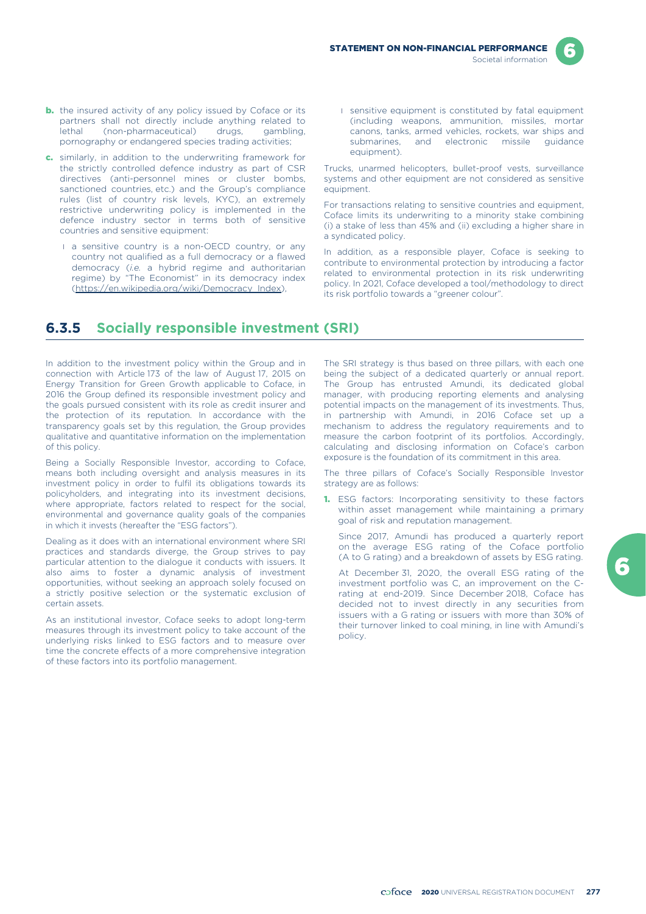

- **b.** the insured activity of any policy issued by Coface or its partners shall not directly include anything related to lethal (non-pharmaceutical) drugs, gambling, pornography or endangered species trading activities;
- c. similarly, in addition to the underwriting framework for the strictly controlled defence industry as part of CSR directives (anti-personnel mines or cluster bombs, sanctioned countries, etc.) and the Group's compliance rules (list of country risk levels, KYC), an extremely restrictive underwriting policy is implemented in the defence industry sector in terms both of sensitive countries and sensitive equipment:
	- **I** a sensitive country is a non-OECD country, or any country not qualified as a full democracy or a flawed democracy (*i.e.* a hybrid regime and authoritarian regime) by "The Economist" in its democracy index (https://en.wikipedia.org/wiki/Democracy\_Index),
- l sensitive equipment is constituted by fatal equipment (including weapons, ammunition, missiles, mortar canons, tanks, armed vehicles, rockets, war ships and submarines, and electronic missile guidance equipment).

Trucks, unarmed helicopters, bullet-proof vests, surveillance systems and other equipment are not considered as sensitive equipment.

For transactions relating to sensitive countries and equipment, Coface limits its underwriting to a minority stake combining (i) a stake of less than 45% and (ii) excluding a higher share in a syndicated policy.

In addition, as a responsible player, Coface is seeking to contribute to environmental protection by introducing a factor related to environmental protection in its risk underwriting policy. In 2021, Coface developed a tool/methodology to direct its risk portfolio towards a "greener colour".

# **6.3.5 Socially responsible investment (SRI)**

In addition to the investment policy within the Group and in connection with Article 173 of the law of August 17, 2015 on Energy Transition for Green Growth applicable to Coface, in 2016 the Group defined its responsible investment policy and the goals pursued consistent with its role as credit insurer and the protection of its reputation. In accordance with the transparency goals set by this regulation, the Group provides qualitative and quantitative information on the implementation of this policy.

Being a Socially Responsible Investor, according to Coface, means both including oversight and analysis measures in its investment policy in order to fulfil its obligations towards its policyholders, and integrating into its investment decisions, where appropriate, factors related to respect for the social, environmental and governance quality goals of the companies in which it invests (hereafter the "ESG factors").

Dealing as it does with an international environment where SRI practices and standards diverge, the Group strives to pay particular attention to the dialogue it conducts with issuers. It also aims to foster a dynamic analysis of investment opportunities, without seeking an approach solely focused on a strictly positive selection or the systematic exclusion of certain assets.

As an institutional investor, Coface seeks to adopt long-term measures through its investment policy to take account of the underlying risks linked to ESG factors and to measure over time the concrete effects of a more comprehensive integration of these factors into its portfolio management.

The SRI strategy is thus based on three pillars, with each one being the subject of a dedicated quarterly or annual report. The Group has entrusted Amundi, its dedicated global manager, with producing reporting elements and analysing potential impacts on the management of its investments. Thus, in partnership with Amundi, in 2016 Coface set up a mechanism to address the regulatory requirements and to measure the carbon footprint of its portfolios. Accordingly, calculating and disclosing information on Coface's carbon exposure is the foundation of its commitment in this area.

The three pillars of Coface's Socially Responsible Investor strategy are as follows:

**1.** ESG factors: Incorporating sensitivity to these factors within asset management while maintaining a primary goal of risk and reputation management.

Since 2017, Amundi has produced a quarterly report on the average ESG rating of the Coface portfolio (A to G rating) and a breakdown of assets by ESG rating.

At December 31, 2020, the overall ESG rating of the investment portfolio was C, an improvement on the Crating at end-2019. Since December 2018, Coface has decided not to invest directly in any securities from issuers with a G rating or issuers with more than 30% of their turnover linked to coal mining, in line with Amundi's policy.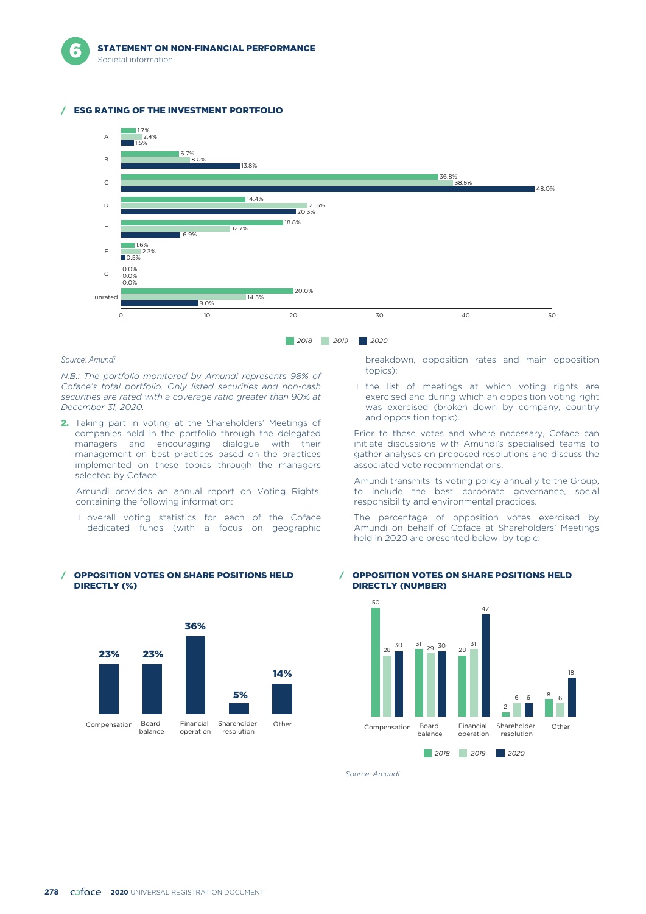#### **ESG RATING OF THE INVESTMENT PORTFOLIO**



#### *Source: Amundi*

*N.B.: The portfolio monitored by Amundi represents 98% of Coface's total portfolio. Only listed securities and non-cash securities are rated with a coverage ratio greater than 90% at December 31, 2020.*

2. Taking part in voting at the Shareholders' Meetings of companies held in the portfolio through the delegated managers and encouraging dialogue with their management on best practices based on the practices implemented on these topics through the managers selected by Coface.

Amundi provides an annual report on Voting Rights, containing the following information:

**I** overall voting statistics for each of the Coface dedicated funds (with a focus on geographic



#### / OPPOSITION VOTES ON SHARE POSITIONS HELD DIRECTLY (%)

breakdown, opposition rates and main opposition topics);

I the list of meetings at which voting rights are exercised and during which an opposition voting right was exercised (broken down by company, country and opposition topic).

Prior to these votes and where necessary, Coface can initiate discussions with Amundi's specialised teams to gather analyses on proposed resolutions and discuss the associated vote recommendations.

Amundi transmits its voting policy annually to the Group, to include the best corporate governance, social responsibility and environmental practices.

The percentage of opposition votes exercised by Amundi on behalf of Coface at Shareholders' Meetings held in 2020 are presented below, by topic:

#### / OPPOSITION VOTES ON SHARE POSITIONS HELD DIRECTLY (NUMBER)



*Source: Amundi*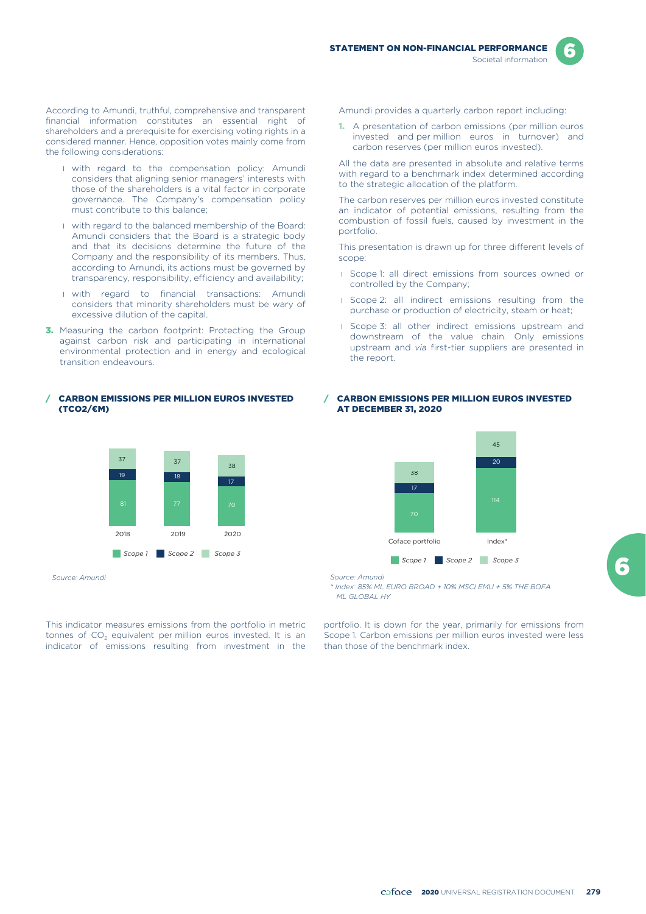According to Amundi, truthful, comprehensive and transparent financial information constitutes an essential right of shareholders and a prerequisite for exercising voting rights in a considered manner. Hence, opposition votes mainly come from the following considerations:

- **I** with regard to the compensation policy: Amundi considers that aligning senior managers' interests with those of the shareholders is a vital factor in corporate governance. The Company's compensation policy must contribute to this balance;
- I with regard to the balanced membership of the Board: Amundi considers that the Board is a strategic body and that its decisions determine the future of the Company and the responsibility of its members. Thus, according to Amundi, its actions must be governed by transparency, responsibility, efficiency and availability;
- I with regard to financial transactions: Amundi considers that minority shareholders must be wary of excessive dilution of the capital.
- **3.** Measuring the carbon footprint: Protecting the Group against carbon risk and participating in international environmental protection and in energy and ecological transition endeavours.

/ CARBON EMISSIONS PER MILLION EUROS INVESTED (TCO2/€M)



*Source: Amundi*

tonnes of  $CO<sub>2</sub>$  equivalent per million euros invested. It is an Scope 1. Carbon emissions per million euros invested were less indicator of emissions resulting from investment in the than those of the benchmark index indicator of emissions resulting from investment in the

Amundi provides a quarterly carbon report including:

1. A presentation of carbon emissions (per million euros invested and per million euros in turnover) and carbon reserves (per million euros invested).

All the data are presented in absolute and relative terms with regard to a benchmark index determined according to the strategic allocation of the platform.

The carbon reserves per million euros invested constitute an indicator of potential emissions, resulting from the combustion of fossil fuels, caused by investment in the portfolio.

This presentation is drawn up for three different levels of scope:

- **I** Scope 1: all direct emissions from sources owned or controlled by the Company;
- **I** Scope 2: all indirect emissions resulting from the purchase or production of electricity, steam or heat;
- **I** Scope 3: all other indirect emissions upstream and downstream of the value chain. Only emissions upstream and *via* first-tier suppliers are presented in the report.

#### / CARBON EMISSIONS PER MILLION EUROS INVESTED AT DECEMBER 31, 2020



*Source: Amundi*

*\* Index: 85% ML EURO BROAD + 10% MSCI EMU + 5% THE BOFA ML GLOBAL HY*

This indicator measures emissions from the portfolio in metric portfolio. It is down for the year, primarily for emissions from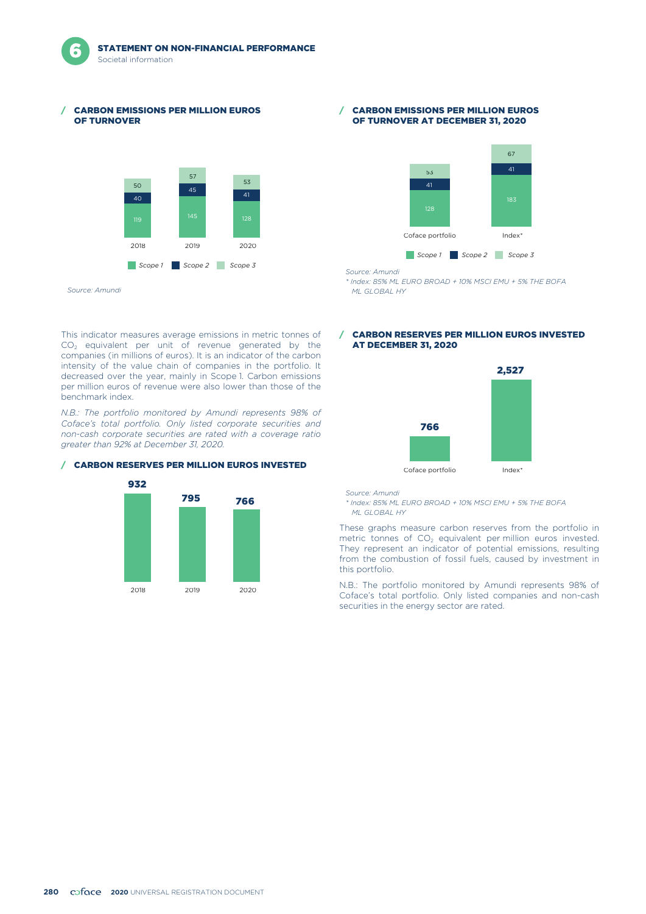#### **CARBON EMISSIONS PER MILLION EUROS** OF TURNOVER



This indicator measures average emissions in metric tonnes of  $CO<sub>2</sub>$  equivalent per unit of revenue generated by the companies (in millions of euros). It is an indicator of the carbon intensity of the value chain of companies in the portfolio. It decreased over the year, mainly in Scope 1. Carbon emissions per million euros of revenue were also lower than those of the

*N.B.: The portfolio monitored by Amundi represents 98% of Coface's total portfolio. Only listed corporate securities and non-cash corporate securities are rated with a coverage ratio*

benchmark index.

#### / CARBON EMISSIONS PER MILLION EUROS OF TURNOVER AT DECEMBER 31, 2020



*Source: Amundi*

*\* Index: 85% ML EURO BROAD + 10% MSCI EMU + 5% THE BOFA ML GLOBAL HY*

### / CARBON RESERVES PER MILLION EUROS INVESTED AT DECEMBER 31, 2020



Coface portfolio index<sup>\*</sup>

*Source: Amundi*

*\* Index: 85% ML EURO BROAD + 10% MSCI EMU + 5% THE BOFA ML GLOBAL HY*

These graphs measure carbon reserves from the portfolio in metric tonnes of  $CO<sub>2</sub>$  equivalent per million euros invested. They represent an indicator of potential emissions, resulting from the combustion of fossil fuels, caused by investment in this portfolio.

N.B.: The portfolio monitored by Amundi represents 98% of Coface's total portfolio. Only listed companies and non-cash securities in the energy sector are rated.

#### / CARBON RESERVES PER MILLION EUROS INVESTED

*greater than 92% at December 31, 2020.*



*Source: Amundi*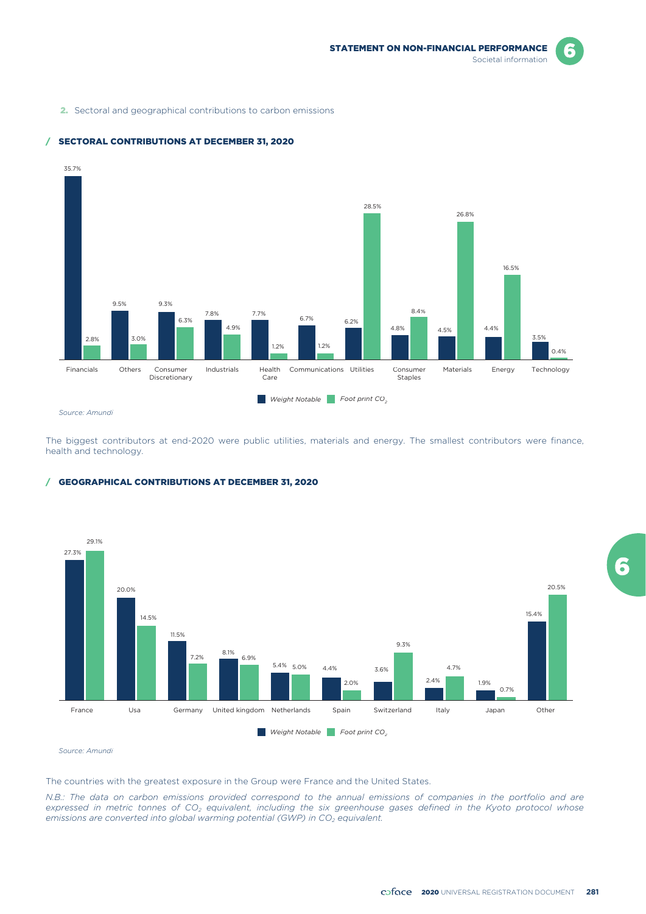F

2. Sectoral and geographical contributions to carbon emissions



### / SECTORAL CONTRIBUTIONS AT DECEMBER 31, 2020

The biggest contributors at end-2020 were public utilities, materials and energy. The smallest contributors were finance, health and technology.

### / GEOGRAPHICAL CONTRIBUTIONS AT DECEMBER 31, 2020



*Source: Amundi*

The countries with the greatest exposure in the Group were France and the United States.

*N.B.: The data on carbon emissions provided correspond to the annual emissions of companies in the portfolio and are expressed in metric tonnes of CO2 equivalent, including the six greenhouse gases defined in the Kyoto protocol whose emissions are converted into global warming potential (GWP) in CO<sub>2</sub> equivalent.*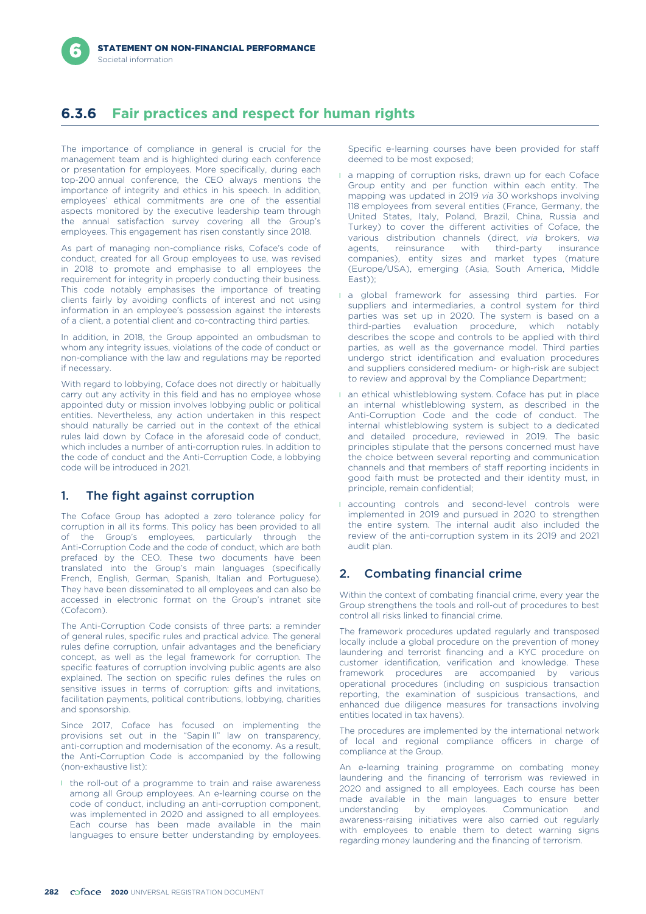# **6.3.6 Fair practices and respect for human rights**

The importance of compliance in general is crucial for the management team and is highlighted during each conference or presentation for employees. More specifically, during each top-200 annual conference, the CEO always mentions the importance of integrity and ethics in his speech. In addition, employees' ethical commitments are one of the essential aspects monitored by the executive leadership team through the annual satisfaction survey covering all the Group's employees. This engagement has risen constantly since 2018.

As part of managing non-compliance risks, Coface's code of conduct, created for all Group employees to use, was revised in 2018 to promote and emphasise to all employees the requirement for integrity in properly conducting their business. This code notably emphasises the importance of treating clients fairly by avoiding conflicts of interest and not using information in an employee's possession against the interests of a client, a potential client and co-contracting third parties.

In addition, in 2018, the Group appointed an ombudsman to whom any integrity issues, violations of the code of conduct or non-compliance with the law and regulations may be reported if necessary.

With regard to lobbying, Coface does not directly or habitually carry out any activity in this field and has no employee whose appointed duty or mission involves lobbying public or political entities. Nevertheless, any action undertaken in this respect should naturally be carried out in the context of the ethical rules laid down by Coface in the aforesaid code of conduct, which includes a number of anti-corruption rules. In addition to the code of conduct and the Anti-Corruption Code, a lobbying code will be introduced in 2021.

# 1. The fight against corruption

The Coface Group has adopted a zero tolerance policy for corruption in all its forms. This policy has been provided to all of the Group's employees, particularly through the Anti-Corruption Code and the code of conduct, which are both prefaced by the CEO. These two documents have been translated into the Group's main languages (specifically French, English, German, Spanish, Italian and Portuguese). They have been disseminated to all employees and can also be accessed in electronic format on the Group's intranet site (Cofacom).

The Anti-Corruption Code consists of three parts: a reminder of general rules, specific rules and practical advice. The general rules define corruption, unfair advantages and the beneficiary concept, as well as the legal framework for corruption. The specific features of corruption involving public agents are also explained. The section on specific rules defines the rules on sensitive issues in terms of corruption: gifts and invitations, facilitation payments, political contributions, lobbying, charities and sponsorship.

Since 2017, Coface has focused on implementing the provisions set out in the "Sapin II" law on transparency, anti-corruption and modernisation of the economy. As a result, the Anti-Corruption Code is accompanied by the following (non-exhaustive list):

I the roll-out of a programme to train and raise awareness among all Group employees. An e-learning course on the code of conduct, including an anti-corruption component, was implemented in 2020 and assigned to all employees. Each course has been made available in the main languages to ensure better understanding by employees.

Specific e-learning courses have been provided for staff deemed to be most exposed;

- **a** a mapping of corruption risks, drawn up for each Coface Group entity and per function within each entity. The mapping was updated in 2019 *via* 30 workshops involving 118 employees from several entities (France, Germany, the United States, Italy, Poland, Brazil, China, Russia and Turkey) to cover the different activities of Coface, the various distribution channels (direct, *via* brokers, *via* agents, reinsurance with third-party insurance companies), entity sizes and market types (mature (Europe/USA), emerging (Asia, South America, Middle East));
- **i** a global framework for assessing third parties. For suppliers and intermediaries, a control system for third parties was set up in 2020. The system is based on a third-parties evaluation procedure, which notably describes the scope and controls to be applied with third parties, as well as the governance model. Third parties undergo strict identification and evaluation procedures and suppliers considered medium- or high-risk are subject to review and approval by the Compliance Department;
- l an ethical whistleblowing system. Coface has put in place an internal whistleblowing system, as described in the Anti-Corruption Code and the code of conduct. The internal whistleblowing system is subject to a dedicated and detailed procedure, reviewed in 2019. The basic principles stipulate that the persons concerned must have the choice between several reporting and communication channels and that members of staff reporting incidents in good faith must be protected and their identity must, in principle, remain confidential;
- **I** accounting controls and second-level controls were implemented in 2019 and pursued in 2020 to strengthen the entire system. The internal audit also included the review of the anti-corruption system in its 2019 and 2021 audit plan.

# 2. Combating financial crime

Within the context of combating financial crime, every year the Group strengthens the tools and roll-out of procedures to best control all risks linked to financial crime.

The framework procedures updated regularly and transposed locally include a global procedure on the prevention of money laundering and terrorist financing and a KYC procedure on customer identification, verification and knowledge. These framework procedures are accompanied by various operational procedures (including on suspicious transaction reporting, the examination of suspicious transactions, and enhanced due diligence measures for transactions involving entities located in tax havens).

The procedures are implemented by the international network of local and regional compliance officers in charge of compliance at the Group.

An e-learning training programme on combating money laundering and the financing of terrorism was reviewed in 2020 and assigned to all employees. Each course has been made available in the main languages to ensure better understanding by employees. Communication and awareness-raising initiatives were also carried out regularly with employees to enable them to detect warning signs regarding money laundering and the financing of terrorism.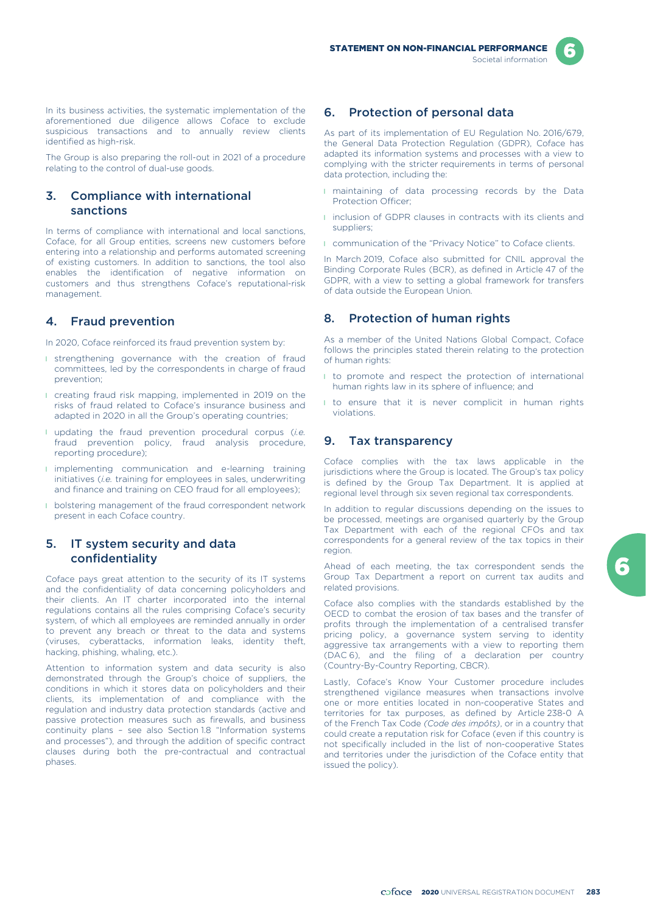In its business activities, the systematic implementation of the aforementioned due diligence allows Coface to exclude suspicious transactions and to annually review clients identified as high-risk.

The Group is also preparing the roll-out in 2021 of a procedure relating to the control of dual-use goods.

## 3. Compliance with international sanctions

In terms of compliance with international and local sanctions, Coface, for all Group entities, screens new customers before entering into a relationship and performs automated screening of existing customers. In addition to sanctions, the tool also enables the identification of negative information on customers and thus strengthens Coface's reputational-risk management.

## 4. Fraud prevention

In 2020, Coface reinforced its fraud prevention system by:

- **I** strengthening governance with the creation of fraud committees, led by the correspondents in charge of fraud prevention;
- **I** creating fraud risk mapping, implemented in 2019 on the risks of fraud related to Coface's insurance business and adapted in 2020 in all the Group's operating countries;
- l updating the fraud prevention procedural corpus (*i.e.* fraud prevention policy, fraud analysis procedure, reporting procedure);
- **I** implementing communication and e-learning training initiatives (*i.e.* training for employees in sales, underwriting and finance and training on CEO fraud for all employees);
- **I** bolstering management of the fraud correspondent network present in each Coface country.

## 5. IT system security and data confidentiality

Coface pays great attention to the security of its IT systems and the confidentiality of data concerning policyholders and their clients. An IT charter incorporated into the internal regulations contains all the rules comprising Coface's security system, of which all employees are reminded annually in order to prevent any breach or threat to the data and systems (viruses, cyberattacks, information leaks, identity theft, hacking, phishing, whaling, etc.).

Attention to information system and data security is also demonstrated through the Group's choice of suppliers, the conditions in which it stores data on policyholders and their clients, its implementation of and compliance with the regulation and industry data protection standards (active and passive protection measures such as firewalls, and business continuity plans – see also Section 1.8 "Information systems and processes"), and through the addition of specific contract clauses during both the pre-contractual and contractual phases.

# 6. Protection of personal data

As part of its implementation of EU Regulation No. 2016/679, the General Data Protection Regulation (GDPR), Coface has adapted its information systems and processes with a view to complying with the stricter requirements in terms of personal data protection, including the:

- **I** maintaining of data processing records by the Data Protection Officer;
- **I** inclusion of GDPR clauses in contracts with its clients and suppliers;
- **I** communication of the "Privacy Notice" to Coface clients.

In March 2019, Coface also submitted for CNIL approval the Binding Corporate Rules (BCR), as defined in Article 47 of the GDPR, with a view to setting a global framework for transfers of data outside the European Union.

## 8. Protection of human rights

As a member of the United Nations Global Compact, Coface follows the principles stated therein relating to the protection of human rights:

- I to promote and respect the protection of international human rights law in its sphere of influence; and
- I to ensure that it is never complicit in human rights violations.

## 9. Tax transparency

Coface complies with the tax laws applicable in the jurisdictions where the Group is located. The Group's tax policy is defined by the Group Tax Department. It is applied at regional level through six seven regional tax correspondents.

In addition to regular discussions depending on the issues to be processed, meetings are organised quarterly by the Group Tax Department with each of the regional CFOs and tax correspondents for a general review of the tax topics in their region.

Ahead of each meeting, the tax correspondent sends the Group Tax Department a report on current tax audits and related provisions.

Coface also complies with the standards established by the OECD to combat the erosion of tax bases and the transfer of profits through the implementation of a centralised transfer pricing policy, a governance system serving to identity aggressive tax arrangements with a view to reporting them (DAC 6), and the filing of a declaration per country (Country-By-Country Reporting, CBCR).

Lastly, Coface's Know Your Customer procedure includes strengthened vigilance measures when transactions involve one or more entities located in non-cooperative States and territories for tax purposes, as defined by Article 238-0 A of the French Tax Code *(Code des impôts)*, or in a country that could create a reputation risk for Coface (even if this country is not specifically included in the list of non-cooperative States and territories under the jurisdiction of the Coface entity that issued the policy).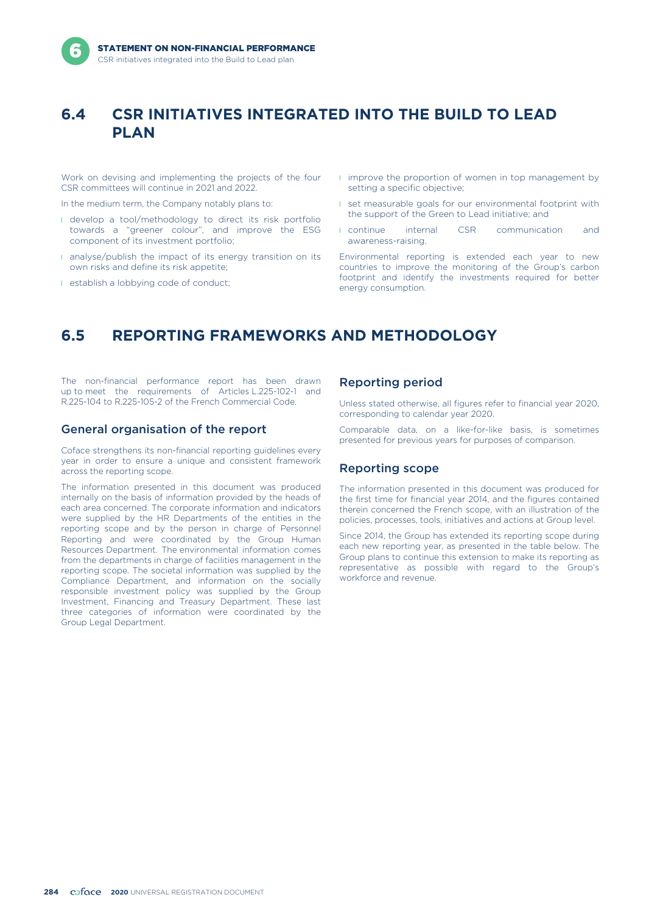# **6.4 CSR INITIATIVES INTEGRATED INTO THE BUILD TO LEAD PLAN**

Work on devising and implementing the projects of the four CSR committees will continue in 2021 and 2022.

In the medium term, the Company notably plans to:

- l develop a tool/methodology to direct its risk portfolio towards a "greener colour", and improve the ESG component of its investment portfolio;
- **I** analyse/publish the impact of its energy transition on its own risks and define its risk appetite;
- **I** establish a lobbying code of conduct;
- **I** improve the proportion of women in top management by setting a specific objective;
- **I** set measurable goals for our environmental footprint with the support of the Green to Lead initiative; and
- **I** continue internal CSR communication and awareness-raising.

Environmental reporting is extended each year to new countries to improve the monitoring of the Group's carbon footprint and identify the investments required for better energy consumption.

# **6.5 REPORTING FRAMEWORKS AND METHODOLOGY**

The non-financial performance report has been drawn up to meet the requirements of Articles L.225-102-1 and R.225-104 to R.225-105-2 of the French Commercial Code.

## General organisation of the report

Coface strengthens its non-financial reporting guidelines every year in order to ensure a unique and consistent framework across the reporting scope.

The information presented in this document was produced internally on the basis of information provided by the heads of each area concerned. The corporate information and indicators were supplied by the HR Departments of the entities in the reporting scope and by the person in charge of Personnel Reporting and were coordinated by the Group Human Resources Department. The environmental information comes from the departments in charge of facilities management in the reporting scope. The societal information was supplied by the Compliance Department, and information on the socially responsible investment policy was supplied by the Group Investment, Financing and Treasury Department. These last three categories of information were coordinated by the Group Legal Department.

## Reporting period

Unless stated otherwise, all figures refer to financial year 2020, corresponding to calendar year 2020.

Comparable data, on a like-for-like basis, is sometimes presented for previous years for purposes of comparison.

### Reporting scope

The information presented in this document was produced for the first time for financial year 2014, and the figures contained therein concerned the French scope, with an illustration of the policies, processes, tools, initiatives and actions at Group level.

Since 2014, the Group has extended its reporting scope during each new reporting year, as presented in the table below. The Group plans to continue this extension to make its reporting as representative as possible with regard to the Group's workforce and revenue.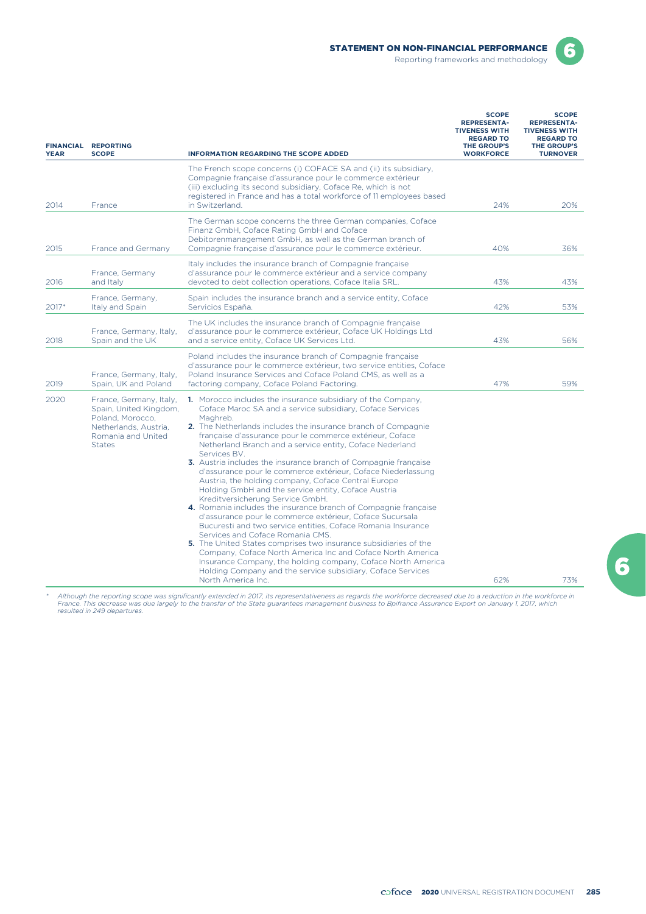

Reporting frameworks and methodology



| <b>FINANCIAL</b><br><b>YEAR</b> | <b>REPORTING</b><br><b>SCOPE</b>                                                                                                      | <b>INFORMATION REGARDING THE SCOPE ADDED</b>                                                                                                                                                                                                                                                                                                                                                                                                                                                                                                                                                                                                                                                                                                                                                                                                                                                                                                                                                                                                                                                                                                                         | <b>SCOPE</b><br><b>REPRESENTA-</b><br><b>TIVENESS WITH</b><br><b>REGARD TO</b><br>THE GROUP'S<br><b>WORKFORCE</b> | <b>SCOPE</b><br><b>REPRESENTA-</b><br><b>TIVENESS WITH</b><br><b>REGARD TO</b><br><b>THE GROUP'S</b><br><b>TURNOVER</b> |  |
|---------------------------------|---------------------------------------------------------------------------------------------------------------------------------------|----------------------------------------------------------------------------------------------------------------------------------------------------------------------------------------------------------------------------------------------------------------------------------------------------------------------------------------------------------------------------------------------------------------------------------------------------------------------------------------------------------------------------------------------------------------------------------------------------------------------------------------------------------------------------------------------------------------------------------------------------------------------------------------------------------------------------------------------------------------------------------------------------------------------------------------------------------------------------------------------------------------------------------------------------------------------------------------------------------------------------------------------------------------------|-------------------------------------------------------------------------------------------------------------------|-------------------------------------------------------------------------------------------------------------------------|--|
| 2014                            | France                                                                                                                                | The French scope concerns (i) COFACE SA and (ii) its subsidiary.<br>Compagnie française d'assurance pour le commerce extérieur<br>(iii) excluding its second subsidiary, Coface Re, which is not<br>registered in France and has a total workforce of 11 employees based<br>in Switzerland.                                                                                                                                                                                                                                                                                                                                                                                                                                                                                                                                                                                                                                                                                                                                                                                                                                                                          | 24%                                                                                                               | 20%                                                                                                                     |  |
| 2015                            | France and Germany                                                                                                                    | The German scope concerns the three German companies, Coface<br>Finanz GmbH, Coface Rating GmbH and Coface<br>Debitorenmanagement GmbH, as well as the German branch of<br>Compagnie française d'assurance pour le commerce extérieur.                                                                                                                                                                                                                                                                                                                                                                                                                                                                                                                                                                                                                                                                                                                                                                                                                                                                                                                               | 40%                                                                                                               | 36%                                                                                                                     |  |
| 2016                            | France, Germany<br>and Italy                                                                                                          | Italy includes the insurance branch of Compagnie française<br>d'assurance pour le commerce extérieur and a service company<br>devoted to debt collection operations, Coface Italia SRL.                                                                                                                                                                                                                                                                                                                                                                                                                                                                                                                                                                                                                                                                                                                                                                                                                                                                                                                                                                              | 43%                                                                                                               | 43%                                                                                                                     |  |
| 2017*                           | France, Germany,<br>Italy and Spain                                                                                                   | Spain includes the insurance branch and a service entity, Coface<br>Servicios España.                                                                                                                                                                                                                                                                                                                                                                                                                                                                                                                                                                                                                                                                                                                                                                                                                                                                                                                                                                                                                                                                                | 42%                                                                                                               | 53%                                                                                                                     |  |
| 2018                            | France, Germany, Italy,<br>Spain and the UK                                                                                           | The UK includes the insurance branch of Compagnie française<br>d'assurance pour le commerce extérieur, Coface UK Holdings Ltd<br>and a service entity, Coface UK Services Ltd.                                                                                                                                                                                                                                                                                                                                                                                                                                                                                                                                                                                                                                                                                                                                                                                                                                                                                                                                                                                       | 43%                                                                                                               | 56%                                                                                                                     |  |
| 2019                            | France, Germany, Italy,<br>Spain, UK and Poland                                                                                       | Poland includes the insurance branch of Compagnie française<br>d'assurance pour le commerce extérieur, two service entities, Coface<br>Poland Insurance Services and Coface Poland CMS, as well as a<br>factoring company, Coface Poland Factoring.                                                                                                                                                                                                                                                                                                                                                                                                                                                                                                                                                                                                                                                                                                                                                                                                                                                                                                                  | 47%                                                                                                               | 59%                                                                                                                     |  |
| 2020                            | France, Germany, Italy,<br>Spain, United Kingdom,<br>Poland, Morocco.<br>Netherlands, Austria.<br>Romania and United<br><b>States</b> | 1. Morocco includes the insurance subsidiary of the Company.<br>Coface Maroc SA and a service subsidiary, Coface Services<br>Maghreb.<br><b>2.</b> The Netherlands includes the insurance branch of Compagnie<br>française d'assurance pour le commerce extérieur, Coface<br>Netherland Branch and a service entity, Coface Nederland<br>Services BV.<br>3. Austria includes the insurance branch of Compagnie française<br>d'assurance pour le commerce extérieur, Coface Niederlassung<br>Austria, the holding company, Coface Central Europe<br>Holding GmbH and the service entity, Coface Austria<br>Kreditversicherung Service GmbH.<br>4. Romania includes the insurance branch of Compagnie francaise<br>d'assurance pour le commerce extérieur, Coface Sucursala<br>Bucuresti and two service entities. Coface Romania Insurance<br>Services and Coface Romania CMS.<br>5. The United States comprises two insurance subsidiaries of the<br>Company, Coface North America Inc and Coface North America<br>Insurance Company, the holding company, Coface North America<br>Holding Company and the service subsidiary, Coface Services<br>North America Inc. | 62%                                                                                                               | 73%                                                                                                                     |  |

\* Although the reporting scope was significantly extended in 2017, its representativeness as regards the workforce decreased due to a reduction in the workforce in<br>France. This decrease was due largely to the transfer of t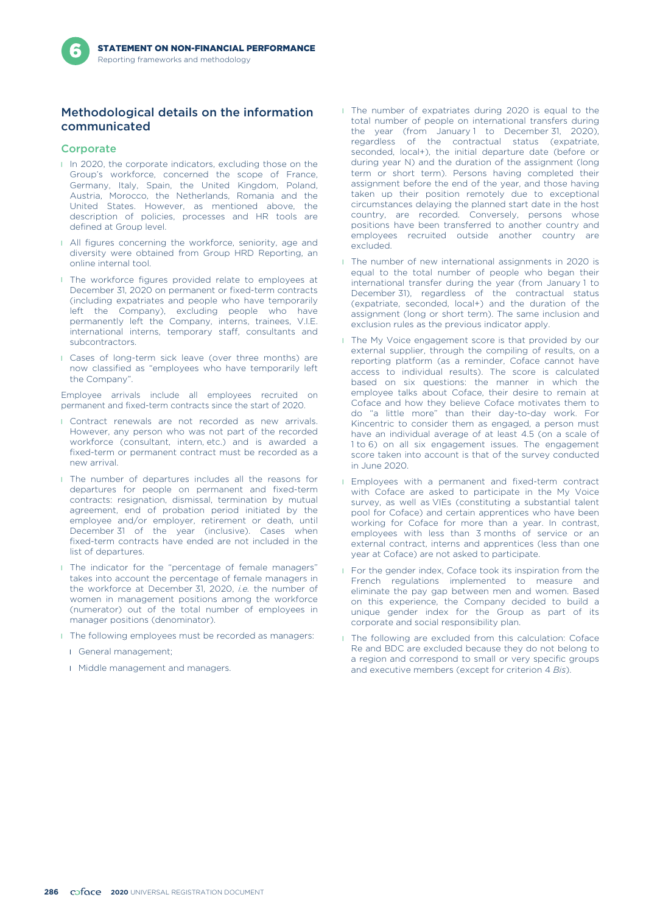# Methodological details on the information communicated

### **Corporate**

- **I** In 2020, the corporate indicators, excluding those on the Group's workforce, concerned the scope of France, Germany, Italy, Spain, the United Kingdom, Poland, Austria, Morocco, the Netherlands, Romania and the United States. However, as mentioned above, the description of policies, processes and HR tools are defined at Group level.
- I All figures concerning the workforce, seniority, age and diversity were obtained from Group HRD Reporting, an online internal tool.
- **I** The workforce figures provided relate to employees at December 31, 2020 on permanent or fixed-term contracts (including expatriates and people who have temporarily left the Company), excluding people who have permanently left the Company, interns, trainees, V.I.E. international interns, temporary staff, consultants and subcontractors.
- **I** Cases of long-term sick leave (over three months) are now classified as "employees who have temporarily left the Company".

Employee arrivals include all employees recruited on permanent and fixed-term contracts since the start of 2020.

- **I** Contract renewals are not recorded as new arrivals. However, any person who was not part of the recorded workforce (consultant, intern, etc.) and is awarded a fixed-term or permanent contract must be recorded as a new arrival.
- **I** The number of departures includes all the reasons for departures for people on permanent and fixed-term contracts: resignation, dismissal, termination by mutual agreement, end of probation period initiated by the employee and/or employer, retirement or death, until December 31 of the year (inclusive). Cases when fixed-term contracts have ended are not included in the list of departures.
- **I** The indicator for the "percentage of female managers" takes into account the percentage of female managers in the workforce at December 31, 2020, *i.e.* the number of women in management positions among the workforce (numerator) out of the total number of employees in manager positions (denominator).
- **I** The following employees must be recorded as managers:
	- l General management;
	- **I** Middle management and managers.
- **I** The number of expatriates during 2020 is equal to the total number of people on international transfers during the year (from January 1 to December 31, 2020), regardless of the contractual status (expatriate, seconded, local+), the initial departure date (before or during year N) and the duration of the assignment (long term or short term). Persons having completed their assignment before the end of the year, and those having taken up their position remotely due to exceptional circumstances delaying the planned start date in the host country, are recorded. Conversely, persons whose positions have been transferred to another country and employees recruited outside another country are excluded.
- **I** The number of new international assignments in 2020 is equal to the total number of people who began their international transfer during the year (from January 1 to December 31), regardless of the contractual status (expatriate, seconded, local+) and the duration of the assignment (long or short term). The same inclusion and exclusion rules as the previous indicator apply.
- **I** The My Voice engagement score is that provided by our external supplier, through the compiling of results, on a reporting platform (as a reminder, Coface cannot have access to individual results). The score is calculated based on six questions: the manner in which the employee talks about Coface, their desire to remain at Coface and how they believe Coface motivates them to do "a little more" than their day-to-day work. For Kincentric to consider them as engaged, a person must have an individual average of at least 4.5 (on a scale of 1 to 6) on all six engagement issues. The engagement score taken into account is that of the survey conducted in June 2020.
- **I** Employees with a permanent and fixed-term contract with Coface are asked to participate in the My Voice survey, as well as VIEs (constituting a substantial talent pool for Coface) and certain apprentices who have been working for Coface for more than a year. In contrast, employees with less than 3 months of service or an external contract, interns and apprentices (less than one year at Coface) are not asked to participate.
- **I** For the gender index, Coface took its inspiration from the French regulations implemented to measure and eliminate the pay gap between men and women. Based on this experience, the Company decided to build a unique gender index for the Group as part of its corporate and social responsibility plan.
- **I** The following are excluded from this calculation: Coface Re and BDC are excluded because they do not belong to a region and correspond to small or very specific groups and executive members (except for criterion 4 *Bis*).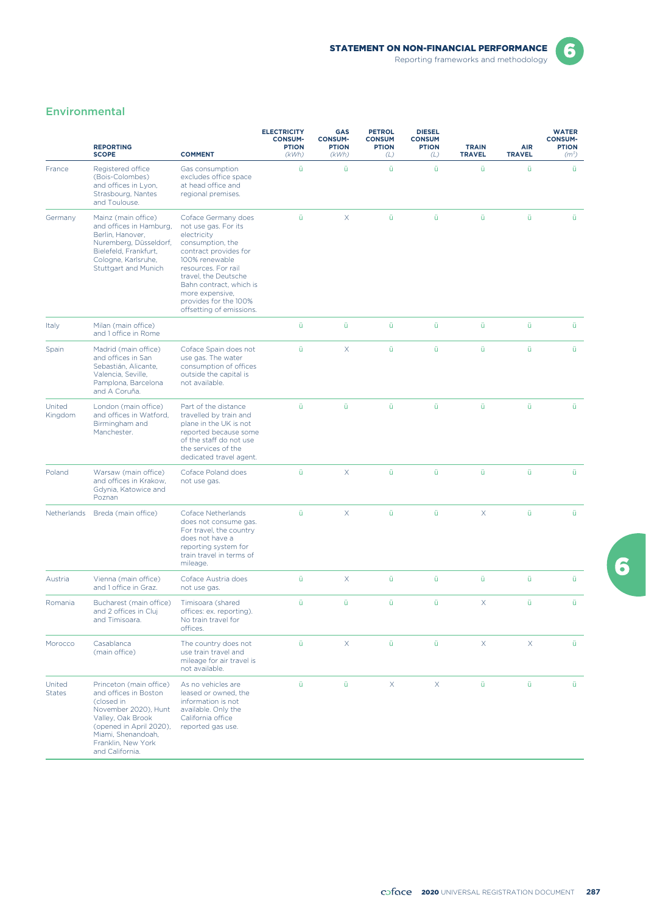

6

# Environmental

|                         | <b>REPORTING</b><br><b>SCOPE</b>                                                                                                                                                                      | <b>COMMENT</b>                                                                                                                                                                                                                                                              | <b>ELECTRICITY</b><br><b>CONSUM-</b><br><b>PTION</b><br>(kWh) | GAS<br><b>CONSUM-</b><br><b>PTION</b><br>(kWh) | <b>PETROL</b><br><b>CONSUM</b><br><b>PTION</b><br>(L) | <b>DIESEL</b><br><b>CONSUM</b><br><b>PTION</b><br>(L) | <b>TRAIN</b><br><b>TRAVEL</b> | <b>AIR</b><br><b>TRAVEL</b> | <b>WATER</b><br><b>CONSUM-</b><br><b>PTION</b><br>(m <sup>3</sup> ) |
|-------------------------|-------------------------------------------------------------------------------------------------------------------------------------------------------------------------------------------------------|-----------------------------------------------------------------------------------------------------------------------------------------------------------------------------------------------------------------------------------------------------------------------------|---------------------------------------------------------------|------------------------------------------------|-------------------------------------------------------|-------------------------------------------------------|-------------------------------|-----------------------------|---------------------------------------------------------------------|
| France                  | Registered office<br>(Bois-Colombes)<br>and offices in Lyon,<br>Strasbourg, Nantes<br>and Toulouse.                                                                                                   | Gas consumption<br>excludes office space<br>at head office and<br>regional premises.                                                                                                                                                                                        | ü                                                             | ü                                              | ü                                                     | ü                                                     | ü                             | ü                           | ü                                                                   |
| Germany                 | Mainz (main office)<br>and offices in Hamburg,<br>Berlin, Hanover,<br>Nuremberg, Düsseldorf,<br>Bielefeld, Frankfurt,<br>Cologne, Karlsruhe,<br>Stuttgart and Munich                                  | Coface Germany does<br>not use gas. For its<br>electricity<br>consumption, the<br>contract provides for<br>100% renewable<br>resources. For rail<br>travel, the Deutsche<br>Bahn contract, which is<br>more expensive,<br>provides for the 100%<br>offsetting of emissions. | ü                                                             | X.                                             | ü                                                     | ü                                                     | ü                             | ü                           | ü                                                                   |
| Italy                   | Milan (main office)<br>and 1 office in Rome                                                                                                                                                           |                                                                                                                                                                                                                                                                             | ü                                                             | ü                                              | ü                                                     | ü                                                     | ü                             | ü                           | ü                                                                   |
| Spain                   | Madrid (main office)<br>and offices in San<br>Sebastián, Alicante,<br>Valencia, Seville,<br>Pamplona, Barcelona<br>and A Coruña.                                                                      | Coface Spain does not<br>use gas. The water<br>consumption of offices<br>outside the capital is<br>not available.                                                                                                                                                           | ü                                                             | X.                                             | ü                                                     | ü                                                     | ü                             | ü                           | ü                                                                   |
| United<br>Kingdom       | London (main office)<br>and offices in Watford,<br>Birmingham and<br>Manchester.                                                                                                                      | Part of the distance<br>travelled by train and<br>plane in the UK is not<br>reported because some<br>of the staff do not use<br>the services of the<br>dedicated travel agent.                                                                                              | ü                                                             | ü                                              | ü                                                     | ü                                                     | ü                             | ü                           | ü                                                                   |
| Poland                  | Warsaw (main office)<br>and offices in Krakow,<br>Gdynia, Katowice and<br>Poznan                                                                                                                      | Coface Poland does<br>not use gas.                                                                                                                                                                                                                                          | ü                                                             | X.                                             | ü                                                     | ü                                                     | ü                             | ü                           | ü                                                                   |
| Netherlands             | Breda (main office)                                                                                                                                                                                   | Coface Netherlands<br>does not consume gas.<br>For travel, the country<br>does not have a<br>reporting system for<br>train travel in terms of<br>mileage.                                                                                                                   | ü                                                             | X.                                             | ü                                                     | ü                                                     | X                             | ü                           | ü                                                                   |
| Austria                 | Vienna (main office)<br>and 1 office in Graz.                                                                                                                                                         | Coface Austria does<br>not use gas.                                                                                                                                                                                                                                         | ü                                                             | X.                                             | ü                                                     | ü                                                     | ü                             | ü                           | ü                                                                   |
| Romania                 | Bucharest (main office)<br>and 2 offices in Cluj<br>and Timisoara.                                                                                                                                    | Timisoara (shared<br>offices: ex. reporting).<br>No train travel for<br>offices.                                                                                                                                                                                            | ü                                                             | ü                                              | ü                                                     | ü                                                     | X                             | ü                           | ü                                                                   |
| Morocco                 | Casablanca<br>(main office)                                                                                                                                                                           | The country does not<br>use train travel and<br>mileage for air travel is<br>not available.                                                                                                                                                                                 | ü                                                             | $\times$                                       | ü                                                     | ü                                                     | X                             | X                           | ü                                                                   |
| United<br><b>States</b> | Princeton (main office)<br>and offices in Boston<br>(closed in<br>November 2020), Hunt<br>Valley, Oak Brook<br>(opened in April 2020),<br>Miami, Shenandoah.<br>Franklin, New York<br>and California. | As no vehicles are<br>leased or owned, the<br>information is not<br>available. Only the<br>California office<br>reported gas use.                                                                                                                                           | ü                                                             | ü                                              | $\mathsf{X}$                                          | X                                                     | ü                             | ü                           | ü                                                                   |